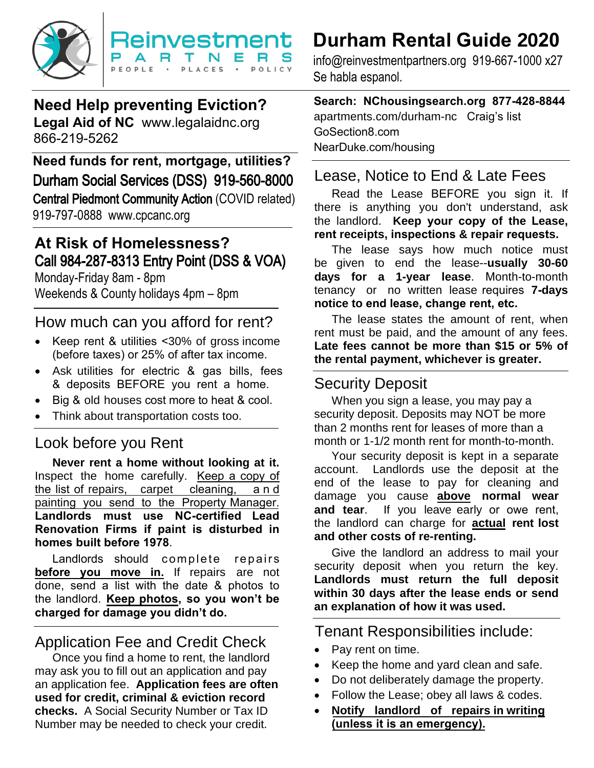

## **Need Help preventing Eviction? Legal Aid of NC** [www.legalaidnc.org](http://www.legalaidnc.org/) 866-219-5262

**Need funds for rent, mortgage, utilities?** [Durham Social Services \(D](http://www.nchousingsearch.org/)SS) 919-560-8000 Central Piedmont Community Action (COVID related) 919-797-0888 www.cpcanc.org

## **At Risk of Homelessness?** Call 984-287-8313 Entry Point (DSS & VOA)

Monday-Friday 8am - 8pm Weekends & County holidays 4pm – 8pm

## How much can you afford for rent?

- Keep rent & utilities <30% of gross income (before taxes) or 25% of after tax income.
- Ask utilities for electric & gas bills, fees & deposits BEFORE you rent a home.
- Big & old houses cost more to heat & cool.
- Think about transportation costs too.

## Look before you Rent

**Never rent a home without looking at it.**  Inspect the home carefully. Keep a copy of the list of repairs, carpet cleaning, and painting you send to the Property Manager. **Landlords must use NC-certified Lead Renovation Firms if paint is disturbed in homes built before 1978**.

Landlords should complete repairs **before you move in.** If repairs are not done, send a list with the date & photos to the landlord. **Keep photos, so you won't be charged for damage you didn't do.** 

## Application Fee and Credit Check

 Once you find a home to rent, the landlord may ask you to fill out an application and pay an application fee. **Application fees are often used for credit, criminal & eviction record checks.** A Social Security Number or Tax ID Number may be needed to check your credit.

# **Durham Rental Guide 2020**

info@reinvestmentpartners.org 919-667-1000 x27 Se habla espanol.

## **Search: NChousingsearch.org 877-428-8844**

apartments.com/durham-nc Craig's list GoSection8.com NearDuke.com/housing

## Lease, Notice to End & Late Fees

Read the Lease BEFORE you sign it. If there is anything you don't understand, ask the landlord. **Keep your copy of the Lease, rent receipts, inspections & repair requests.** 

The lease says how much notice must be given to end the lease--**usually 30-60 days for a 1-year lease**. Month-to-month tenancy or no written lease requires **7-days notice to end lease, change rent, etc.** 

The lease states the amount of rent, when rent must be paid, and the amount of any fees. **Late fees cannot be more than \$15 or 5% of the rental payment, whichever is greater.** 

## Security Deposit

When you sign a lease, you may pay a security deposit. Deposits may NOT be more than 2 months rent for leases of more than a month or 1-1/2 month rent for month-to-month.

Your security deposit is kept in a separate account. Landlords use the deposit at the end of the lease to pay for cleaning and damage you cause **above normal wear and tear**. If you leave early or owe rent, the landlord can charge for **actual rent lost and other costs of re-renting.** 

Give the landlord an address to mail your security deposit when you return the key. **Landlords must return the full deposit within 30 days after the lease ends or send an explanation of how it was used.** 

Tenant Responsibilities include:

- Pay rent on time.
- Keep the home and yard clean and safe.
- Do not deliberately damage the property.
- Follow the Lease; obey all laws & codes.
- **Notify landlord of repairs in writing (unless it is an emergency).**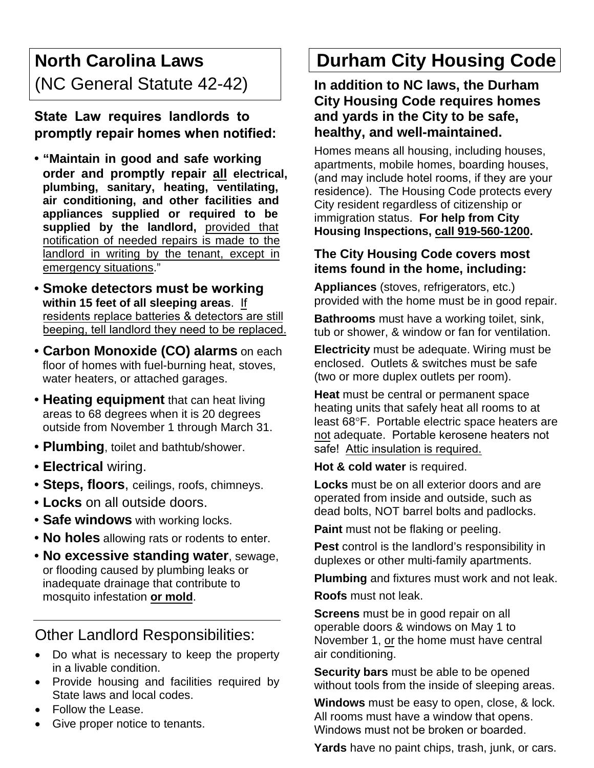## **North Carolina Laws** (NC General Statute 42-42)

**State Law requires landlords to promptly repair homes when notified:**

- **"Maintain in good and safe working order and promptly repair all electrical, plumbing, sanitary, heating, ventilating, air conditioning, and other facilities and appliances supplied or required to be supplied by the landlord,** provided that notification of needed repairs is made to the landlord in writing by the tenant, except in emergency situations."
- **Smoke detectors must be working within 15 feet of all sleeping areas**. If residents replace batteries & detectors are still beeping, tell landlord they need to be replaced.
- **Carbon Monoxide (CO) alarms** on each floor of homes with fuel-burning heat, stoves, water heaters, or attached garages.
- **Heating equipment** that can heat living areas to 68 degrees when it is 20 degrees outside from November 1 through March 31.
- **Plumbing**, toilet and bathtub/shower.
- **Electrical** wiring.
- **Steps, floors**, ceilings, roofs, chimneys.
- **Locks** on all outside doors.
- **Safe windows** with working locks.
- **No holes** allowing rats or rodents to enter.
- **No excessive standing water**, sewage, or flooding caused by plumbing leaks or inadequate drainage that contribute to mosquito infestation **or mold**.

## Other Landlord Responsibilities:

- Do what is necessary to keep the property in a livable condition.
- Provide housing and facilities required by State laws and local codes.
- Follow the Lease.
- Give proper notice to tenants.

# **Durham City Housing Code**

**In addition to NC laws, the Durham City Housing Code requires homes and yards in the City to be safe, healthy, and well-maintained.**

Homes means all housing, including houses, apartments, mobile homes, boarding houses, (and may include hotel rooms, if they are your residence). The Housing Code protects every City resident regardless of citizenship or immigration status. **For help from City Housing Inspections, call 919-560-1200.** 

#### **The City Housing Code covers most items found in the home, including:**

**Appliances** (stoves, refrigerators, etc.) provided with the home must be in good repair.

**Bathrooms** must have a working toilet, sink, tub or shower, & window or fan for ventilation.

**Electricity** must be adequate. Wiring must be enclosed. Outlets & switches must be safe (two or more duplex outlets per room).

**Heat** must be central or permanent space heating units that safely heat all rooms to at least 68°F. Portable electric space heaters are not adequate. Portable kerosene heaters not safe! Attic insulation is required.

**Hot & cold water** is required.

**Locks** must be on all exterior doors and are operated from inside and outside, such as dead bolts, NOT barrel bolts and padlocks.

**Paint** must not be flaking or peeling.

**Pest** control is the landlord's responsibility in duplexes or other multi-family apartments.

**Plumbing** and fixtures must work and not leak.

**Roofs** must not leak.

**Screens** must be in good repair on all operable doors & windows on May 1 to November 1, or the home must have central air conditioning.

**Security bars** must be able to be opened without tools from the inside of sleeping areas.

**Windows** must be easy to open, close, & lock. All rooms must have a window that opens. Windows must not be broken or boarded.

**Yards** have no paint chips, trash, junk, or cars.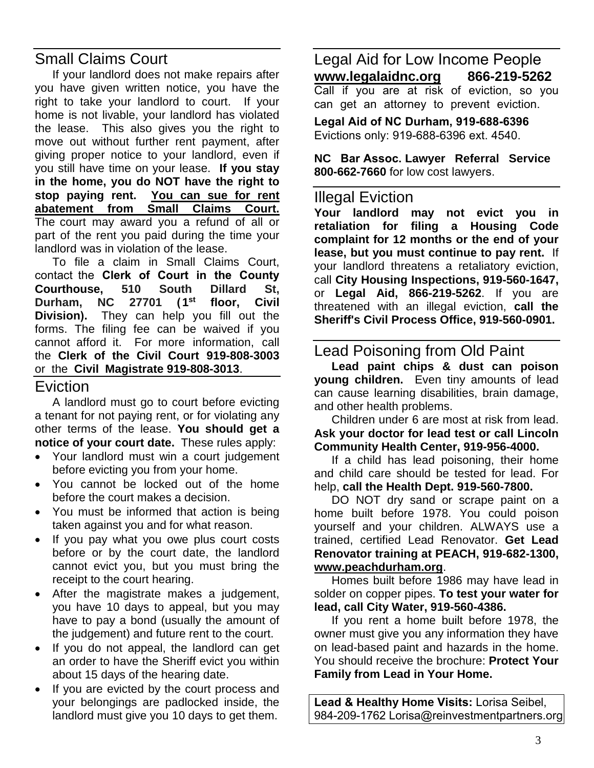## Small Claims Court

If your landlord does not make repairs after you have given written notice, you have the right to take your landlord to court. If your home is not livable, your landlord has violated the lease. This also gives you the right to move out without further rent payment, after giving proper notice to your landlord, even if you still have time on your lease. **If you stay in the home, you do NOT have the right to stop paying rent. You can sue for rent abatement from Small Claims Court.** The court may award you a refund of all or part of the rent you paid during the time your landlord was in violation of the lease.

To file a claim in Small Claims Court, contact the **Clerk of Court in the County Courthouse, 510 South Dillard St, Durham, NC 27701 (1 st floor, Civil Division).** They can help you fill out the forms. The filing fee can be waived if you cannot afford it. For more information, call the **Clerk of the Civil Court 919-808-3003** or the **Civil Magistrate 919-808-3013**.

### Eviction

A landlord must go to court before evicting a tenant for not paying rent, or for violating any other terms of the lease. **You should get a notice of your court date.** These rules apply:

- Your landlord must win a court judgement before evicting you from your home.
- You cannot be locked out of the home before the court makes a decision.
- You must be informed that action is being taken against you and for what reason.
- If you pay what you owe plus court costs before or by the court date, the landlord cannot evict you, but you must bring the receipt to the court hearing.
- After the magistrate makes a judgement, you have 10 days to appeal, but you may have to pay a bond (usually the amount of the judgement) and future rent to the court.
- If you do not appeal, the landlord can get an order to have the Sheriff evict you within about 15 days of the hearing date.
- If you are evicted by the court process and your belongings are padlocked inside, the landlord must give you 10 days to get them.

Legal Aid for Low Income People **[www.legalaidnc.org](http://www.legalaidnc.org/) 866-219-5262** Call if you are at risk of eviction, so you can get an attorney to prevent eviction.

**Legal Aid of NC Durham, 919-688-6396** Evictions only: 919-688-6396 ext. 4540.

**NC Bar Assoc. Lawyer Referral Service 800-662-7660** for low cost lawyers.

#### Illegal Eviction

**Your landlord may not evict you in retaliation for filing a Housing Code complaint for 12 months or the end of your lease, but you must continue to pay rent.** If your landlord threatens a retaliatory eviction, call **City Housing Inspections, 919-560-1647,**  or **Legal Aid, 866-219-5262**. If you are threatened with an illegal eviction, **call the Sheriff's Civil Process Office, 919-560-0901.**

## Lead Poisoning from Old Paint

**Lead paint chips & dust can poison young children.** Even tiny amounts of lead can cause learning disabilities, brain damage, and other health problems.

Children under 6 are most at risk from lead. **Ask your doctor for lead test or call Lincoln Community Health Center, 919-956-4000.** 

If a child has lead poisoning, their home and child care should be tested for lead. For help, **call the Health Dept. 919-560-7800.** 

DO NOT dry sand or scrape paint on a home built before 1978. You could poison yourself and your children. ALWAYS use a trained, certified Lead Renovator. **Get Lead Renovator training at PEACH, 919-682-1300, www.peachdurham.org**.

Homes built before 1986 may have lead in solder on copper pipes. **To test your water for lead, call City Water, 919-560-4386.** 

If you rent a home built before 1978, the owner must give you any information they have on lead-based paint and hazards in the home. You should receive the brochure: **Protect Your Family from Lead in Your Home.** 

**Lead & Healthy Home Visits:** Lorisa Seibel, 984-209-1762 Lorisa@reinvestmentpartners.org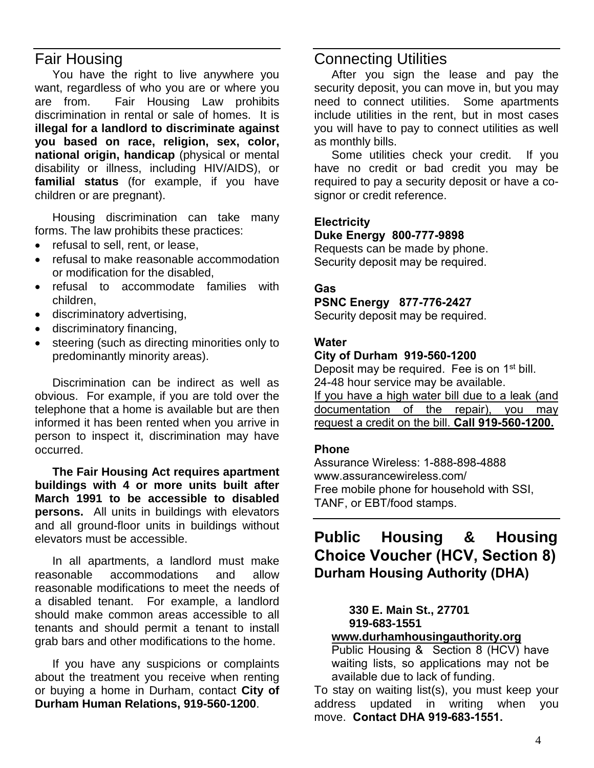## Fair Housing

You have the right to live anywhere you want, regardless of who you are or where you are from. Fair Housing Law prohibits discrimination in rental or sale of homes. It is **illegal for a landlord to discriminate against you based on race, religion, sex, color, national origin, handicap** (physical or mental disability or illness, including HIV/AIDS), or **familial status** (for example, if you have children or are pregnant).

Housing discrimination can take many forms. The law prohibits these practices:

- refusal to sell, rent, or lease,
- refusal to make reasonable accommodation or modification for the disabled,
- refusal to accommodate families with children,
- discriminatory advertising,
- discriminatory financing,
- steering (such as directing minorities only to predominantly minority areas).

Discrimination can be indirect as well as obvious. For example, if you are told over the telephone that a home is available but are then informed it has been rented when you arrive in person to inspect it, discrimination may have occurred.

**The Fair Housing Act requires apartment buildings with 4 or more units built after March 1991 to be accessible to disabled persons.** All units in buildings with elevators and all ground-floor units in buildings without elevators must be accessible.

In all apartments, a landlord must make reasonable accommodations and allow reasonable modifications to meet the needs of a disabled tenant. For example, a landlord should make common areas accessible to all tenants and should permit a tenant to install grab bars and other modifications to the home.

If you have any suspicions or complaints about the treatment you receive when renting or buying a home in Durham, contact **City of Durham Human Relations, 919-560-1200**.

## Connecting Utilities

After you sign the lease and pay the security deposit, you can move in, but you may need to connect utilities. Some apartments include utilities in the rent, but in most cases you will have to pay to connect utilities as well as monthly bills.

Some utilities check your credit. If you have no credit or bad credit you may be required to pay a security deposit or have a cosignor or credit reference.

#### **Electricity**

**Duke Energy 800-777-9898**

Requests can be made by phone. Security deposit may be required.

#### **Gas**

#### **PSNC Energy 877-776-2427**

Security deposit may be required.

#### **Water**

#### **City of Durham 919-560-1200**

Deposit may be required. Fee is on 1<sup>st</sup> bill. 24-48 hour service may be available. If you have a high water bill due to a leak (and documentation of the repair), you may request a credit on the bill. **Call 919-560-1200.**

#### **Phone**

Assurance Wireless: 1-888-898-4888 www.assurancewireless.com/ Free mobile phone for household with SSI, TANF, or EBT/food stamps.

## **Public Housing & Housing Choice Voucher (HCV, Section 8) Durham Housing Authority (DHA)**

#### **330 E. Main St., 27701 919-683-1551**

#### **[www.durhamhousingauthority.org](http://www.durhamhousingauthority.org/)**

Public Housing & Section 8 (HCV) have waiting lists, so applications may not be available due to lack of funding.

To stay on waiting list(s), you must keep your address updated in writing when you move. **Contact DHA 919-683-1551.**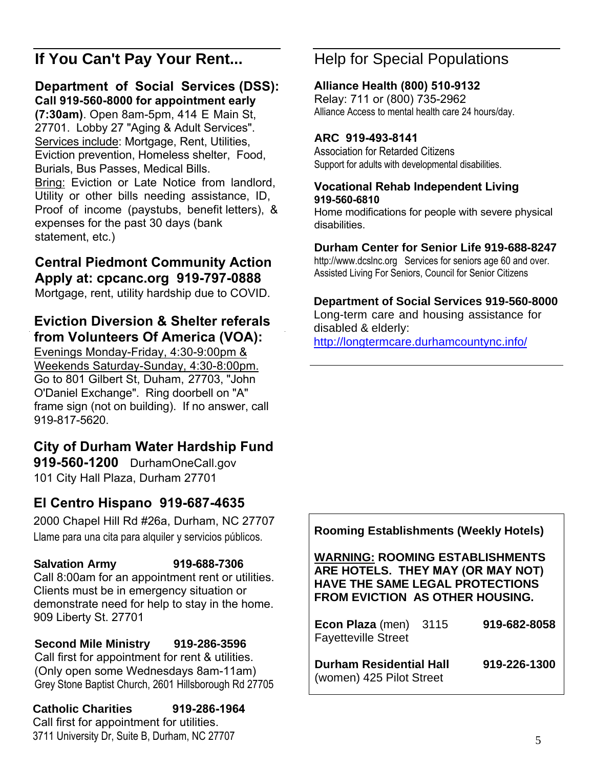## **If You Can't Pay Your Rent...**

#### **Department of Social Services (DSS): Call 919-560-8000 for appointment early**

**(7:30am)**. Open 8am-5pm, 414 E Main St, 27701. Lobby 27 "Aging & Adult Services". Services include: Mortgage, Rent, Utilities, Eviction prevention, Homeless shelter, Food, Burials, Bus Passes, Medical Bills. Bring: [Eviction or Late Notice from landlord](http://www.durhamcountync.gov/departments/dssv), Utility or other bills needing assistance, ID, Proof of income (paystubs, benefit letters), & expenses for the past 30 days (bank statement, etc.)

## **Central Piedmont Community Action Apply at: cpcanc.org 919-797-0888**

Mortgage, rent, utility hardship due to COVID.

## **Eviction Diversion & Shelter referals from Volunteers Of America (VOA):**

Evenings Monday-Friday, 4:30-9:00pm & Weekends Saturday-Sunday, 4:30-8:00pm. Go to 801 Gilbert St, Duham, 27703, "John O'Daniel Exchange". Ring doorbell on "A" frame sign (not on building). If no answer, call 919-817-5620.

## **City of Durham Water Hardship Fund**

**919-560-1200** DurhamOneCall.gov 101 City Hall Plaza, Durham 27701

## **El Centro Hispano 919-687-4635**

2000 Chapel Hill Rd #26a, Durham, NC 27707 Llame para una cita para alquiler y servicios públicos.

#### **Salvation Army 919-688-7306**  Call 8:00am for an appointment rent or utilities. Clients must be in emergency situation or demonstrate need for help to stay in the home. 909 Liberty St. 27701

### **Second Mile Ministry 919-286-3596**

Call first for appointment for rent & utilities. (Only open some Wednesdays 8am-11am) Grey Stone Baptist Church, 2601 Hillsborough Rd 27705

#### **Catholic Charities 919-286-1964** Call first for appointment for utilities.

3711 University Dr, Suite B, Durham, NC 27707

## Help for Special Populations

## **Alliance Health (800) 510-9132**

Relay: 711 or (800) 735-2962 Alliance Access to mental health care 24 hours/day.

## **ARC 919-493-8141**

Association for Retarded Citizens Support for adults with developmental disabilities.

#### **Vocational Rehab Independent Living 919-560-6810**

Home modifications for people with severe physical disabilities.

## **Durham Center for Senior Life 919-688-8247**

http://www.dcslnc.org Services for seniors age 60 and over. [Assisted Living For Seniors, Council for Senior Citizens](http://longtermcare.durhamcountync.info/)

## **Department of Social Services 919-560-8000**

Long-term care and housing assistance for disabled & elderly:

http://longtermcare.durhamcountync.info/

## **Rooming Establishments (Weekly Hotels)**

**WARNING: ROOMING ESTABLISHMENTS ARE HOTELS. THEY MAY (OR MAY NOT) HAVE THE SAME LEGAL PROTECTIONS FROM EVICTION AS OTHER HOUSING.** 

| Econ Plaza (men) 3115<br><b>Fayetteville Street</b>        | 919-682-8058 |
|------------------------------------------------------------|--------------|
| <b>Durham Residential Hall</b><br>(women) 425 Pilot Street | 919-226-1300 |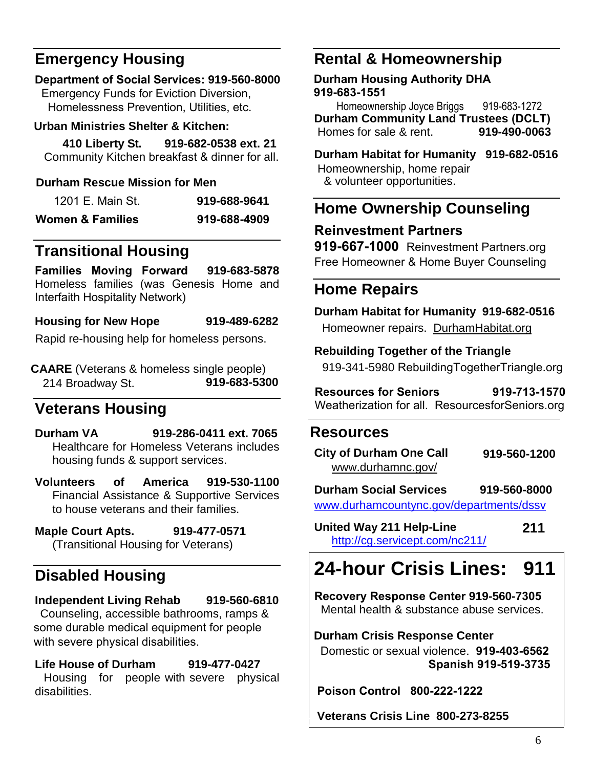## **Emergency Housing**

## **Department of Social Services: 919-560-8000**

**Emergency Funds for Eviction Diversion,** Homelessness Prevention, Utilities, etc.

### **Urban Ministries Shelter & Kitchen:**

 **410 Liberty St. 919-682-0538 ext. 21**  Community Kitchen breakfast & dinner for all.

## **Durham Rescue Mission for Men**

| 1201 E. Main St. | 919-688-9641 |
|------------------|--------------|
| Women & Families | 919-688-4909 |

## **Transitional Housing**

**Families Moving Forward 919-683-5878**  Homeless families (was Genesis Home and Interfaith Hospitality Network)

**Housing for New Hope 919-489-6282**

Rapid re-housing help for homeless persons.

**CAARE** (Veterans & homeless single people) 214 Broadway St. **919-683-5300**

## **Veterans Housing**

**Durham VA 919-286-0411 ext. 7065**  Healthcare for Homeless Veterans includes housing funds & support services.

**Volunteers of America 919-530-1100** Financial Assistance & Supportive Services to house veterans and their families.

**Maple Court Apts. 919-477-0571** (Transitional Housing for Veterans)

## **Disabled Housing**

## **Independent Living Rehab 919-560-6810**

Counseling, accessible bathrooms, ramps & some durable medical equipment for people with severe physical disabilities.

**Life House of Durham 919-477-0427** Housing for people with severe physical disabilities.

## **Rental & Homeownership**

**Durham Housing Authority DHA 919-683-1551**

Homeownership Joyce Briggs 919-683-1272 **Durham Community Land Trustees (DCLT)** Homes for sale & rent.

**Durham Habitat for Humanity 919-682-0516**  Homeownership, home repair & volunteer opportunities.

## **Home Ownership Counseling**

## **Reinvestment Partners**

**919-667-1000** Reinvestment Partners.org Free Homeowner & Home Buyer Counseling

## **Home Repairs**

**Durham Habitat for Humanity 919-682-0516** Homeowner repairs. DurhamHabitat.org

## **Rebuilding Together of the Triangle**

919-341-5980 RebuildingTogetherTriangle.org

**[Resources for Seniors 91](http://www.rebuildingtogethertriangle.org/)9-713-1570**  Weatherization for all. ResourcesforSeniors.org

## **Resources**

| <b>City of Durham One Call</b> | 919-560-1200 |
|--------------------------------|--------------|
| www.durhamnc.gov/              |              |

**[Durham Social Services 919-560-8000](http://www.durhamcountync.gov/departments/dssv)** www.durhamcountync.gov/departments/dssv

**Un[ited Way 211 Help-Line](http://cg.servicept.com/nc211/) 211** http://cg.servicept.com/nc211/

# **24-hour Crisis Lines: 911**

**Re[covery Response Center](http://www.durhamcenter.org/) 919-560-7305** Mental health & substance abuse services.

**Durham Crisis Response Center** 

 Domestic or sexual violence. **919-403-6562 Spanish 919-519-3735** 

**Poison Control 800-222-1222**

**Veterans Crisis Line 800-273-8255**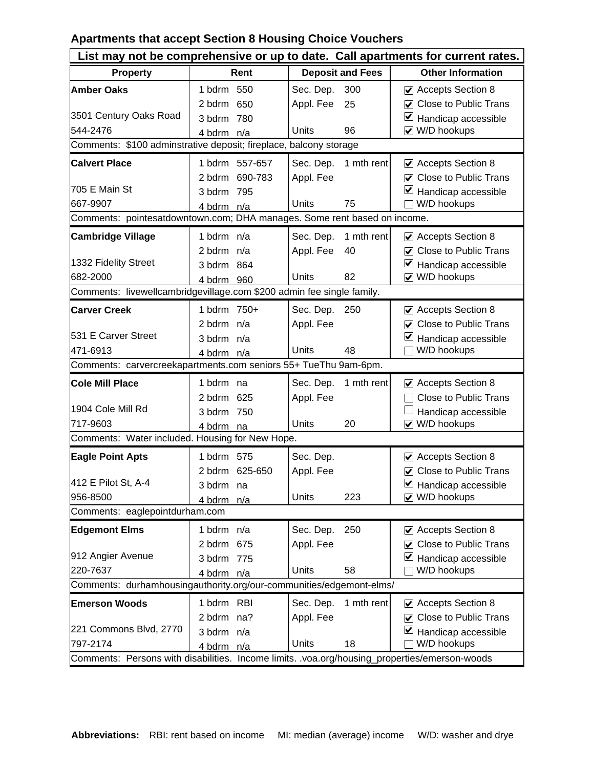## **Apartments that accept Section 8 Housing Choice Vouchers**

| List may not be comprehensive or up to date. Call apartments for current rates.               |                |                         |                                                      |  |  |  |
|-----------------------------------------------------------------------------------------------|----------------|-------------------------|------------------------------------------------------|--|--|--|
| <b>Property</b>                                                                               | Rent           | <b>Deposit and Fees</b> | <b>Other Information</b>                             |  |  |  |
| <b>Amber Oaks</b>                                                                             | 1 bdrm 550     | Sec. Dep.<br>300        | Accepts Section 8                                    |  |  |  |
|                                                                                               | 650<br>2 bdrm  | Appl. Fee<br>25         | ☑ Close to Public Trans                              |  |  |  |
| 3501 Century Oaks Road                                                                        | 780<br>3 bdrm  |                         | ⊻<br>Handicap accessible                             |  |  |  |
| 544-2476                                                                                      | 4 bdrm n/a     | Units<br>96             | W/D hookups<br>$\blacktriangledown$                  |  |  |  |
| Comments: \$100 adminstrative deposit; fireplace, balcony storage                             |                |                         |                                                      |  |  |  |
| <b>Calvert Place</b>                                                                          | 1 bdrm 557-657 | 1 mth rent<br>Sec. Dep. | Accepts Section 8                                    |  |  |  |
|                                                                                               | 2 bdrm 690-783 | Appl. Fee               | $\nabla$ Close to Public Trans                       |  |  |  |
| 705 E Main St                                                                                 | 3 bdrm 795     |                         | ⊻<br>Handicap accessible                             |  |  |  |
| 667-9907                                                                                      | 4 bdrm n/a     | Units<br>75             | W/D hookups                                          |  |  |  |
| Comments: pointesatdowntown.com; DHA manages. Some rent based on income.                      |                |                         |                                                      |  |  |  |
| <b>Cambridge Village</b>                                                                      | 1 bdrm n/a     | 1 mth rent<br>Sec. Dep. | $\vee$ Accepts Section 8                             |  |  |  |
|                                                                                               | 2 bdrm $n/a$   | Appl. Fee<br>40         | <b>○</b> Close to Public Trans                       |  |  |  |
| 1332 Fidelity Street                                                                          | 3 bdrm 864     |                         | ⊻<br>Handicap accessible                             |  |  |  |
| 682-2000                                                                                      | 4 bdrm 960     | 82<br>Units             | V W/D hookups                                        |  |  |  |
| Comments: livewellcambridgevillage.com \$200 admin fee single family.                         |                |                         |                                                      |  |  |  |
| <b>Carver Creek</b>                                                                           | 1 bdrm 750+    | Sec. Dep.<br>250        | $\vee$ Accepts Section 8                             |  |  |  |
|                                                                                               | 2 bdrm $n/a$   | Appl. Fee               | $\triangledown$ Close to Public Trans                |  |  |  |
| 531 E Carver Street                                                                           | 3 bdrm n/a     |                         | ⊻<br>Handicap accessible                             |  |  |  |
| 471-6913                                                                                      | 4 bdrm n/a     | 48<br>Units             | W/D hookups                                          |  |  |  |
| Comments: carvercreekapartments.com seniors 55+ TueThu 9am-6pm.                               |                |                         |                                                      |  |  |  |
| <b>Cole Mill Place</b>                                                                        | 1 bdrm na      | Sec. Dep.<br>1 mth rent | $\vee$ Accepts Section 8                             |  |  |  |
|                                                                                               | 2 bdrm 625     | Appl. Fee               | <b>Close to Public Trans</b>                         |  |  |  |
| 1904 Cole Mill Rd                                                                             | 750<br>3 bdrm  |                         | Handicap accessible                                  |  |  |  |
| 717-9603                                                                                      | 4 bdrm<br>na   | Units<br>20             | $\vee$ W/D hookups                                   |  |  |  |
| Comments: Water included. Housing for New Hope.                                               |                |                         |                                                      |  |  |  |
| <b>Eagle Point Apts</b>                                                                       | 1 bdrm 575     | Sec. Dep.               | Accepts Section 8                                    |  |  |  |
|                                                                                               | 2 bdrm 625-650 | Appl. Fee               | <b>Close to Public Trans</b><br>$\blacktriangledown$ |  |  |  |
| 412 E Pilot St, A-4                                                                           | 3 bdrm na      |                         | ⊻<br>Handicap accessible                             |  |  |  |
| 956-8500                                                                                      | 4 bdrm n/a     | Units<br>223            | ☑ W/D hookups                                        |  |  |  |
| Comments: eaglepointdurham.com                                                                |                |                         |                                                      |  |  |  |
| <b>Edgemont Elms</b>                                                                          | 1 bdrm n/a     | 250<br>Sec. Dep.        | Accepts Section 8                                    |  |  |  |
|                                                                                               | 2 bdrm 675     | Appl. Fee               | <b>○</b> Close to Public Trans                       |  |  |  |
| 912 Angier Avenue                                                                             | 3 bdrm 775     |                         | M<br>Handicap accessible                             |  |  |  |
| 220-7637                                                                                      | 4 bdrm n/a     | 58<br>Units             | W/D hookups                                          |  |  |  |
| Comments: durhamhousingauthority.org/our-communities/edgemont-elms/                           |                |                         |                                                      |  |  |  |
| <b>Emerson Woods</b>                                                                          | 1 bdrm RBI     | 1 mth rent<br>Sec. Dep. | ☑ Accepts Section 8                                  |  |  |  |
|                                                                                               | 2 bdrm na?     | Appl. Fee               | <b>Close to Public Trans</b><br>M                    |  |  |  |
| 221 Commons Blvd, 2770                                                                        | 3 bdrm n/a     |                         | ⊻<br>Handicap accessible                             |  |  |  |
| 797-2174                                                                                      | 4 bdrm n/a     | 18<br>Units             | W/D hookups                                          |  |  |  |
| Comments: Persons with disabilities. Income limits. .voa.org/housing_properties/emerson-woods |                |                         |                                                      |  |  |  |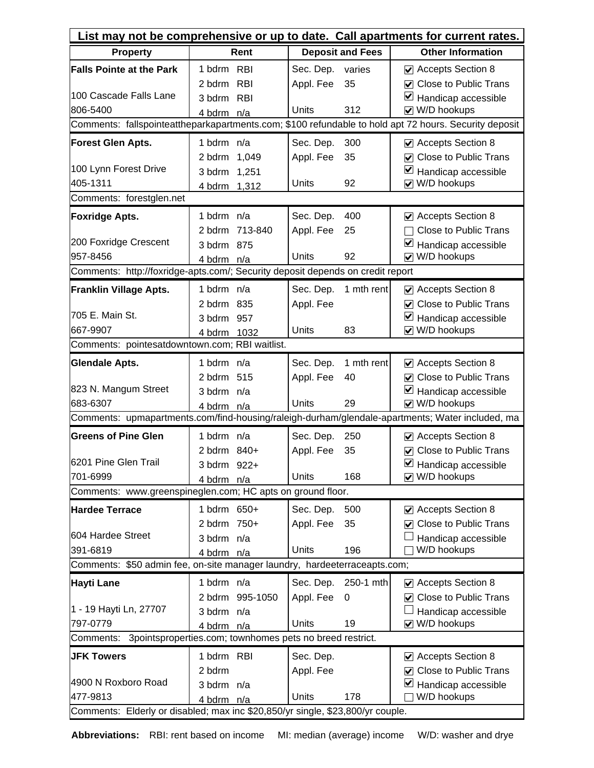| List may not be comprehensive or up to date. Call apartments for current rates.            |              |                 |              |                         |                                                                                                       |  |
|--------------------------------------------------------------------------------------------|--------------|-----------------|--------------|-------------------------|-------------------------------------------------------------------------------------------------------|--|
| <b>Property</b>                                                                            |              | Rent            |              | <b>Deposit and Fees</b> | <b>Other Information</b>                                                                              |  |
| <b>Falls Pointe at the Park</b>                                                            | 1 bdrm RBI   |                 | Sec. Dep.    | varies                  | ☑ Accepts Section 8                                                                                   |  |
|                                                                                            | 2 bdrm       | <b>RBI</b>      | Appl. Fee    | 35                      | <b>○</b> Close to Public Trans                                                                        |  |
| 100 Cascade Falls Lane                                                                     | 3 bdrm RBI   |                 |              |                         | ⊻<br>Handicap accessible                                                                              |  |
| 806-5400                                                                                   | 4 bdrm n/a   |                 | Units        | 312                     | V W/D hookups                                                                                         |  |
|                                                                                            |              |                 |              |                         | Comments: fallspointeattheparkapartments.com; \$100 refundable to hold apt 72 hours. Security deposit |  |
| Forest Glen Apts.                                                                          | 1 bdrm n/a   |                 | Sec. Dep.    | 300                     | Accepts Section 8                                                                                     |  |
|                                                                                            | 2 bdrm 1,049 |                 | Appl. Fee    | 35                      | <b>○</b> Close to Public Trans                                                                        |  |
| 100 Lynn Forest Drive                                                                      | 3 bdrm 1,251 |                 |              |                         | ⊻<br>Handicap accessible                                                                              |  |
| 405-1311                                                                                   | 4 bdrm 1,312 |                 | Units        | 92                      | V W/D hookups                                                                                         |  |
| Comments: forestglen.net                                                                   |              |                 |              |                         |                                                                                                       |  |
| <b>Foxridge Apts.</b>                                                                      | 1 bdrm n/a   |                 | Sec. Dep.    | 400                     | ☑ Accepts Section 8                                                                                   |  |
|                                                                                            |              | 2 bdrm 713-840  | Appl. Fee    | 25                      | <b>Close to Public Trans</b>                                                                          |  |
| 200 Foxridge Crescent                                                                      | 3 bdrm 875   |                 |              |                         | $\triangleright$ Handicap accessible                                                                  |  |
| 957-8456<br>Comments: http://foxridge-apts.com/; Security deposit depends on credit report | 4 bdrm n/a   |                 | Units        | 92                      | V W/D hookups                                                                                         |  |
|                                                                                            |              |                 |              |                         |                                                                                                       |  |
| <b>Franklin Village Apts.</b>                                                              | 1 bdrm $n/a$ |                 | Sec. Dep.    | 1 mth rent              | ☑ Accepts Section 8                                                                                   |  |
| 705 E. Main St.                                                                            | 2 bdrm 835   |                 | Appl. Fee    |                         | <b>○</b> Close to Public Trans                                                                        |  |
| 667-9907                                                                                   | 3 bdrm 957   |                 | Units        | 83                      | $\blacktriangleright$ Handicap accessible<br>V W/D hookups                                            |  |
| Comments: pointesatdowntown.com; RBI waitlist.                                             | 4 bdrm 1032  |                 |              |                         |                                                                                                       |  |
|                                                                                            |              |                 |              |                         |                                                                                                       |  |
| <b>Glendale Apts.</b>                                                                      | 1 bdrm n/a   |                 | Sec. Dep.    | 1 mth rent              | $\vee$ Accepts Section 8                                                                              |  |
| 823 N. Mangum Street                                                                       | 2 bdrm 515   |                 | Appl. Fee    | 40                      | ○ Close to Public Trans                                                                               |  |
| 683-6307                                                                                   | 3 bdrm n/a   |                 | <b>Units</b> | 29                      | ⊻<br>Handicap accessible<br>☑ W/D hookups                                                             |  |
|                                                                                            | 4 bdrm n/a   |                 |              |                         | Comments: upmapartments.com/find-housing/raleigh-durham/glendale-apartments; Water included, ma       |  |
| <b>Greens of Pine Glen</b>                                                                 | 1 bdrm n/a   |                 |              |                         |                                                                                                       |  |
|                                                                                            | 2 bdrm 840+  |                 | Sec. Dep.    | 250<br>35               | Accepts Section 8<br>○ Close to Public Trans                                                          |  |
| 6201 Pine Glen Trail                                                                       | 3 bdrm 922+  |                 | Appl. Fee    |                         | $\blacktriangleright$ Handicap accessible                                                             |  |
| 701-6999                                                                                   | 4 bdrm n/a   |                 | Units        | 168                     | $\vee$ W/D hookups                                                                                    |  |
| Comments: www.greenspineglen.com; HC apts on ground floor.                                 |              |                 |              |                         |                                                                                                       |  |
| <b>Hardee Terrace</b>                                                                      | 1 bdrm 650+  |                 | Sec. Dep.    | 500                     | ☑ Accepts Section 8                                                                                   |  |
|                                                                                            | 2 bdrm 750+  |                 | Appl. Fee    | 35                      | <b>○</b> Close to Public Trans                                                                        |  |
| 604 Hardee Street                                                                          | 3 bdrm n/a   |                 |              |                         | Handicap accessible                                                                                   |  |
| 391-6819                                                                                   | 4 bdrm n/a   |                 | Units        | 196                     | W/D hookups                                                                                           |  |
| Comments: \$50 admin fee, on-site manager laundry, hardeeterraceapts.com;                  |              |                 |              |                         |                                                                                                       |  |
| Hayti Lane                                                                                 | 1 bdrm n/a   |                 | Sec. Dep.    | 250-1 mth               | ☑ Accepts Section 8                                                                                   |  |
|                                                                                            |              | 2 bdrm 995-1050 | Appl. Fee    | 0                       | <b>○</b> Close to Public Trans                                                                        |  |
| 1 - 19 Hayti Ln, 27707                                                                     | 3 bdrm n/a   |                 |              |                         | Handicap accessible                                                                                   |  |
| 797-0779                                                                                   | 4 bdrm n/a   |                 | Units        | 19                      | $\vee$ W/D hookups                                                                                    |  |
| 3pointsproperties.com; townhomes pets no breed restrict.<br>Comments:                      |              |                 |              |                         |                                                                                                       |  |
| <b>JFK Towers</b>                                                                          | 1 bdrm RBI   |                 | Sec. Dep.    |                         | ☑ Accepts Section 8                                                                                   |  |
|                                                                                            | 2 bdrm       |                 | Appl. Fee    |                         | <b>○</b> Close to Public Trans                                                                        |  |
| 4900 N Roxboro Road                                                                        | 3 bdrm n/a   |                 |              |                         | ⊻<br>Handicap accessible                                                                              |  |
| 477-9813                                                                                   | 4 bdrm n/a   |                 | Units        | 178                     | W/D hookups                                                                                           |  |
| Comments: Elderly or disabled; max inc \$20,850/yr single, \$23,800/yr couple.             |              |                 |              |                         |                                                                                                       |  |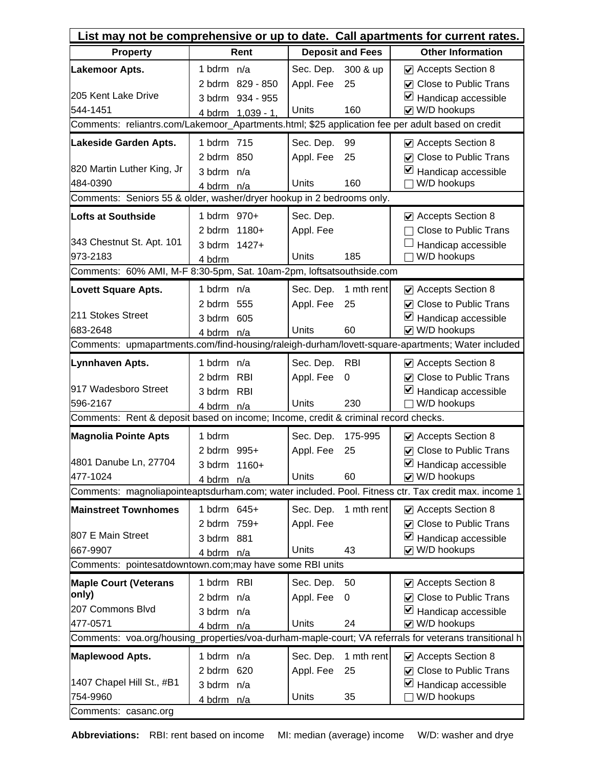| List may not be comprehensive or up to date. Call apartments for current rates.                  |                   |              |                         |                                                                                                       |  |
|--------------------------------------------------------------------------------------------------|-------------------|--------------|-------------------------|-------------------------------------------------------------------------------------------------------|--|
| <b>Property</b>                                                                                  | Rent              |              | <b>Deposit and Fees</b> | <b>Other Information</b>                                                                              |  |
| <b>Lakemoor Apts.</b>                                                                            | 1 bdrm n/a        | Sec. Dep.    | 300 & up                | ☑ Accepts Section 8                                                                                   |  |
|                                                                                                  | 2 bdrm 829 - 850  | Appl. Fee    | 25                      | <b>○</b> Close to Public Trans                                                                        |  |
| 205 Kent Lake Drive                                                                              | 3 bdrm 934 - 955  |              |                         | ⊻<br>Handicap accessible                                                                              |  |
| 544-1451                                                                                         | 4 bdrm 1,039 - 1, | Units        | 160                     | V W/D hookups                                                                                         |  |
| Comments: reliantrs.com/Lakemoor_Apartments.html; \$25 application fee per adult based on credit |                   |              |                         |                                                                                                       |  |
| Lakeside Garden Apts.                                                                            | 1 bdrm 715        | Sec. Dep.    | 99                      | ☑ Accepts Section 8                                                                                   |  |
|                                                                                                  | 2 bdrm 850        | Appl. Fee    | 25                      | $\triangledown$ Close to Public Trans                                                                 |  |
| 820 Martin Luther King, Jr                                                                       | 3 bdrm n/a        |              |                         | ⊻<br>Handicap accessible                                                                              |  |
| 484-0390                                                                                         | 4 bdrm n/a        | Units        | 160                     | W/D hookups                                                                                           |  |
| Comments: Seniors 55 & older, washer/dryer hookup in 2 bedrooms only.                            |                   |              |                         |                                                                                                       |  |
| <b>Lofts at Southside</b>                                                                        | 1 bdrm 970+       | Sec. Dep.    |                         | ☑ Accepts Section 8                                                                                   |  |
|                                                                                                  | 2 bdrm 1180+      | Appl. Fee    |                         | <b>Close to Public Trans</b>                                                                          |  |
| 343 Chestnut St. Apt. 101<br>973-2183                                                            | 3 bdrm 1427+      | <b>Units</b> | 185                     | Handicap accessible<br>W/D hookups                                                                    |  |
| Comments: 60% AMI, M-F 8:30-5pm, Sat. 10am-2pm, loftsatsouthside.com                             | 4 bdrm            |              |                         |                                                                                                       |  |
|                                                                                                  |                   |              |                         |                                                                                                       |  |
| <b>Lovett Square Apts.</b>                                                                       | 1 bdrm n/a        | Sec. Dep.    | 1 mth rent              | $\vee$ Accepts Section 8                                                                              |  |
| 211 Stokes Street                                                                                | 2 bdrm 555        | Appl. Fee    | 25                      | <b>○</b> Close to Public Trans<br>⊻                                                                   |  |
| 683-2648                                                                                         | 605<br>3 bdrm     | Units        | 60                      | Handicap accessible<br>V W/D hookups                                                                  |  |
|                                                                                                  | 4 bdrm n/a        |              |                         | Comments: upmapartments.com/find-housing/raleigh-durham/lovett-square-apartments; Water included      |  |
| Lynnhaven Apts.                                                                                  | 1 bdrm n/a        | Sec. Dep.    | <b>RBI</b>              | ☑ Accepts Section 8                                                                                   |  |
|                                                                                                  | 2 bdrm RBI        | Appl. Fee    | 0                       | <b>Close to Public Trans</b><br>✓                                                                     |  |
| 917 Wadesboro Street                                                                             | 3 bdrm RBI        |              |                         | ⊻<br>Handicap accessible                                                                              |  |
| 596-2167                                                                                         | 4 bdrm n/a        | Units        | 230                     | W/D hookups                                                                                           |  |
| Comments: Rent & deposit based on income; Income, credit & criminal record checks.               |                   |              |                         |                                                                                                       |  |
| <b>Magnolia Pointe Apts</b>                                                                      | 1 bdrm            | Sec. Dep.    | 175-995                 | Accepts Section 8                                                                                     |  |
|                                                                                                  | 2 bdrm 995+       | Appl. Fee    | 25                      | <b>○</b> Close to Public Trans                                                                        |  |
| 4801 Danube Ln, 27704                                                                            | 3 bdrm 1160+      |              |                         | $\blacktriangleright$ Handicap accessible                                                             |  |
| 477-1024                                                                                         | 4 bdrm n/a        | Units        | 60                      | V W/D hookups                                                                                         |  |
|                                                                                                  |                   |              |                         | Comments: magnoliapointeaptsdurham.com; water included. Pool. Fitness ctr. Tax credit max. income 1   |  |
| <b>Mainstreet Townhomes</b>                                                                      | 1 bdrm 645+       | Sec. Dep.    | 1 mth rent              | ☑ Accepts Section 8                                                                                   |  |
|                                                                                                  | 2 bdrm 759+       | Appl. Fee    |                         | <b>○</b> Close to Public Trans                                                                        |  |
| 807 E Main Street                                                                                | 3 bdrm 881        |              |                         | ⊻<br>Handicap accessible                                                                              |  |
| 667-9907                                                                                         | 4 bdrm n/a        | <b>Units</b> | 43                      | V W/D hookups                                                                                         |  |
| Comments: pointesatdowntown.com; may have some RBI units                                         |                   |              |                         |                                                                                                       |  |
| <b>Maple Court (Veterans</b>                                                                     | 1 bdrm RBI        | Sec. Dep.    | 50                      | Accepts Section 8                                                                                     |  |
| only)                                                                                            | 2 bdrm n/a        | Appl. Fee    | 0                       | <b>○</b> Close to Public Trans                                                                        |  |
| 207 Commons Blvd                                                                                 | 3 bdrm n/a        |              |                         | M<br>Handicap accessible                                                                              |  |
| 477-0571                                                                                         | 4 bdrm n/a        | Units        | 24                      | √ W/D hookups                                                                                         |  |
|                                                                                                  |                   |              |                         | Comments: voa.org/housing_properties/voa-durham-maple-court; VA referrals for veterans transitional h |  |
| <b>Maplewood Apts.</b>                                                                           | 1 bdrm n/a        | Sec. Dep.    | 1 mth rent              | $\vee$ Accepts Section 8                                                                              |  |
| 1407 Chapel Hill St., #B1                                                                        | 2 bdrm 620        | Appl. Fee    | 25                      | <b>○</b> Close to Public Trans                                                                        |  |
| 754-9960                                                                                         | 3 bdrm n/a        | Units        | 35                      | ⊻<br>Handicap accessible<br>W/D hookups                                                               |  |
| Comments: casanc.org                                                                             | 4 bdrm n/a        |              |                         |                                                                                                       |  |
|                                                                                                  |                   |              |                         |                                                                                                       |  |

**Abbreviations:** RBI: rent based on income MI: median (average) income W/D: washer and drye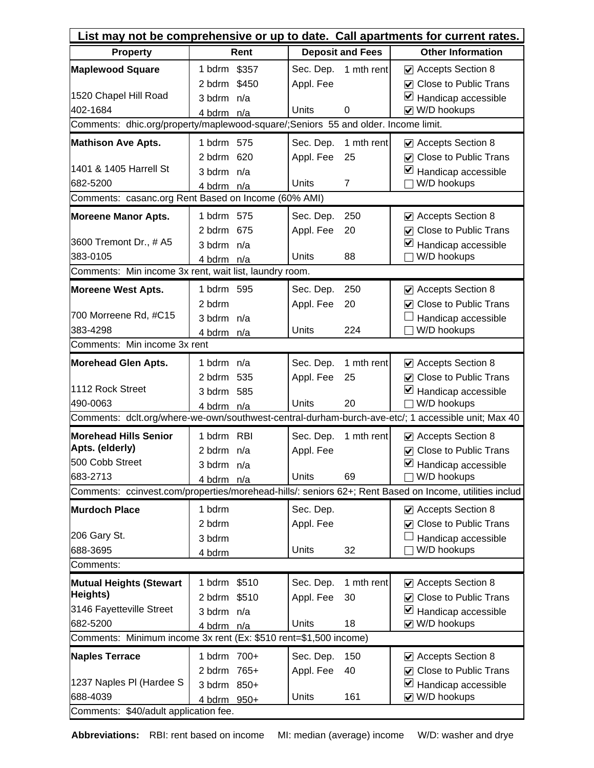| List may not be comprehensive or up to date. Call apartments for current rates.   |              |                         |                |                                                                                                        |  |  |
|-----------------------------------------------------------------------------------|--------------|-------------------------|----------------|--------------------------------------------------------------------------------------------------------|--|--|
| <b>Property</b>                                                                   | Rent         | <b>Deposit and Fees</b> |                | <b>Other Information</b>                                                                               |  |  |
| <b>Maplewood Square</b>                                                           | 1 bdrm \$357 | Sec. Dep.               | 1 mth rent     | ☑ Accepts Section 8                                                                                    |  |  |
|                                                                                   | 2 bdrm \$450 | Appl. Fee               |                | <b>☑</b> Close to Public Trans                                                                         |  |  |
| 1520 Chapel Hill Road                                                             | 3 bdrm n/a   |                         |                | ⊻<br>Handicap accessible                                                                               |  |  |
| 402-1684                                                                          | 4 bdrm n/a   | Units<br>$\Omega$       |                | $\vee$ W/D hookups                                                                                     |  |  |
| Comments: dhic.org/property/maplewood-square/;Seniors 55 and older. Income limit. |              |                         |                |                                                                                                        |  |  |
| <b>Mathison Ave Apts.</b>                                                         | 1 bdrm 575   | Sec. Dep.               | 1 mth rent     | Accepts Section 8                                                                                      |  |  |
|                                                                                   | 2 bdrm 620   | Appl. Fee               | 25             | <b>○</b> Close to Public Trans                                                                         |  |  |
| 1401 & 1405 Harrell St                                                            | 3 bdrm n/a   |                         |                | $\triangleright$ Handicap accessible                                                                   |  |  |
| 682-5200                                                                          | 4 bdrm n/a   | Units                   | $\overline{7}$ | W/D hookups                                                                                            |  |  |
| Comments: casanc.org Rent Based on Income (60% AMI)                               |              |                         |                |                                                                                                        |  |  |
| <b>Moreene Manor Apts.</b>                                                        | 1 bdrm 575   | Sec. Dep.               | 250            | ☑ Accepts Section 8                                                                                    |  |  |
|                                                                                   | 2 bdrm 675   | Appl. Fee               | 20             | <b>○</b> Close to Public Trans                                                                         |  |  |
| 3600 Tremont Dr., # A5                                                            | 3 bdrm n/a   |                         |                | $\blacktriangleright$ Handicap accessible                                                              |  |  |
| 383-0105                                                                          | 4 bdrm n/a   | <b>Units</b>            | 88             | W/D hookups                                                                                            |  |  |
| Comments: Min income 3x rent, wait list, laundry room.                            |              |                         |                |                                                                                                        |  |  |
| <b>Moreene West Apts.</b>                                                         | 1 bdrm 595   | Sec. Dep.               | 250            | ☑ Accepts Section 8                                                                                    |  |  |
|                                                                                   | 2 bdrm       | Appl. Fee               | 20             | <b>○</b> Close to Public Trans                                                                         |  |  |
| 700 Morreene Rd, #C15                                                             | 3 bdrm n/a   |                         |                | Handicap accessible                                                                                    |  |  |
| 383-4298                                                                          | 4 bdrm n/a   | Units                   | 224            | W/D hookups                                                                                            |  |  |
| Comments: Min income 3x rent                                                      |              |                         |                |                                                                                                        |  |  |
| <b>Morehead Glen Apts.</b>                                                        | 1 bdrm n/a   | Sec. Dep.               | 1 mth rent     | $\triangleright$ Accepts Section 8                                                                     |  |  |
|                                                                                   | 2 bdrm 535   | Appl. Fee               | 25             | <b>○</b> Close to Public Trans                                                                         |  |  |
| 1112 Rock Street                                                                  | 3 bdrm 585   |                         |                | ⊻<br>Handicap accessible                                                                               |  |  |
| 490-0063                                                                          | 4 bdrm n/a   | <b>Units</b>            | 20             | W/D hookups                                                                                            |  |  |
|                                                                                   |              |                         |                | Comments: dclt.org/where-we-own/southwest-central-durham-burch-ave-etc/; 1 accessible unit; Max 40     |  |  |
| <b>Morehead Hills Senior</b>                                                      | 1 bdrm RBI   | Sec. Dep.               | 1 mth rent     | ☑ Accepts Section 8                                                                                    |  |  |
| Apts. (elderly)                                                                   | 2 bdrm $n/a$ | Appl. Fee               |                | ○ Close to Public Trans                                                                                |  |  |
| 500 Cobb Street<br>683-2713                                                       | 3 bdrm n/a   | <b>Units</b>            | 69             | $\blacktriangleright$ Handicap accessible<br>W/D hookups                                               |  |  |
|                                                                                   | 4 bdrm n/a   |                         |                | Comments: ccinvest.com/properties/morehead-hills/: seniors 62+; Rent Based on Income, utilities includ |  |  |
|                                                                                   |              |                         |                |                                                                                                        |  |  |
| <b>Murdoch Place</b>                                                              | 1 bdrm       | Sec. Dep.               |                | ☑ Accepts Section 8                                                                                    |  |  |
| 206 Gary St.                                                                      | 2 bdrm       | Appl. Fee               |                | <b>○</b> Close to Public Trans                                                                         |  |  |
| 688-3695                                                                          | 3 bdrm       | Units                   | 32             | Handicap accessible<br>W/D hookups                                                                     |  |  |
| Comments:                                                                         | 4 bdrm       |                         |                |                                                                                                        |  |  |
|                                                                                   | 1 bdrm \$510 |                         | 1 mth rent     | ☑ Accepts Section 8                                                                                    |  |  |
| <b>Mutual Heights (Stewart</b><br>Heights)                                        | 2 bdrm \$510 | Sec. Dep.               | 30             | <b>☑</b> Close to Public Trans                                                                         |  |  |
| 3146 Fayetteville Street                                                          | 3 bdrm n/a   | Appl. Fee               |                | $\triangleright$ Handicap accessible                                                                   |  |  |
| 682-5200                                                                          | 4 bdrm n/a   | Units                   | 18             | $\vee$ W/D hookups                                                                                     |  |  |
| Comments: Minimum income 3x rent (Ex: \$510 rent=\$1,500 income)                  |              |                         |                |                                                                                                        |  |  |
| <b>Naples Terrace</b>                                                             | 1 bdrm 700+  | Sec. Dep.               | 150            | ☑ Accepts Section 8                                                                                    |  |  |
|                                                                                   | 2 bdrm 765+  | Appl. Fee               | 40             | <b>☑</b> Close to Public Trans                                                                         |  |  |
| 1237 Naples PI (Hardee S                                                          | 3 bdrm 850+  |                         |                | ⊻<br>Handicap accessible                                                                               |  |  |
| 688-4039                                                                          | 4 bdrm 950+  | Units                   | 161            | $\vee$ W/D hookups                                                                                     |  |  |
| Comments: \$40/adult application fee.                                             |              |                         |                |                                                                                                        |  |  |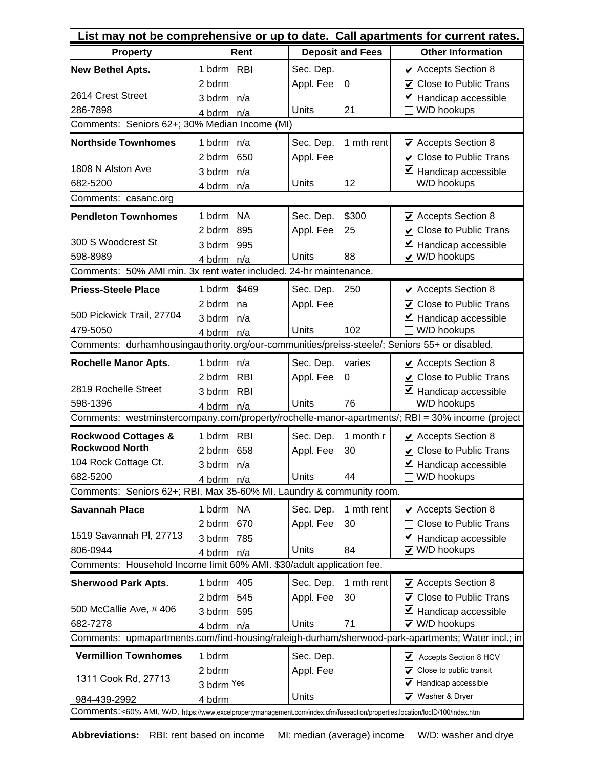| List may not be comprehensive or up to date. Call apartments for current rates.                                              |              |                         |                                                                                                   |  |  |
|------------------------------------------------------------------------------------------------------------------------------|--------------|-------------------------|---------------------------------------------------------------------------------------------------|--|--|
| <b>Property</b>                                                                                                              | Rent         | <b>Deposit and Fees</b> | <b>Other Information</b>                                                                          |  |  |
| <b>New Bethel Apts.</b>                                                                                                      | 1 bdrm RBI   | Sec. Dep.               | ☑ Accepts Section 8                                                                               |  |  |
|                                                                                                                              | 2 bdrm       | Appl. Fee<br>$\Omega$   | <b>○</b> Close to Public Trans                                                                    |  |  |
| 2614 Crest Street                                                                                                            | 3 bdrm n/a   |                         | $\blacktriangleright$ Handicap accessible                                                         |  |  |
| 286-7898                                                                                                                     | 4 bdrm n/a   | <b>Units</b><br>21      | W/D hookups                                                                                       |  |  |
| Comments: Seniors 62+; 30% Median Income (MI)                                                                                |              |                         |                                                                                                   |  |  |
| <b>Northside Townhomes</b>                                                                                                   | 1 bdrm n/a   | 1 mth rent<br>Sec. Dep. | ☑ Accepts Section 8                                                                               |  |  |
|                                                                                                                              | 2 bdrm 650   | Appl. Fee               | ○ Close to Public Trans                                                                           |  |  |
| 1808 N Alston Ave                                                                                                            | 3 bdrm n/a   |                         | $\triangleright$ Handicap accessible                                                              |  |  |
| 682-5200                                                                                                                     | 4 bdrm n/a   | Units<br>12             | W/D hookups                                                                                       |  |  |
| Comments: casanc.org                                                                                                         |              |                         |                                                                                                   |  |  |
| <b>Pendleton Townhomes</b>                                                                                                   | 1 bdrm NA    | \$300<br>Sec. Dep.      | ☑ Accepts Section 8                                                                               |  |  |
|                                                                                                                              | 2 bdrm 895   | Appl. Fee<br>25         | ☑ Close to Public Trans                                                                           |  |  |
| 300 S Woodcrest St                                                                                                           | 3 bdrm 995   |                         | $\blacktriangleright$ Handicap accessible                                                         |  |  |
| 598-8989                                                                                                                     | 4 bdrm n/a   | 88<br>Units             | V W/D hookups                                                                                     |  |  |
| Comments: 50% AMI min. 3x rent water included. 24-hr maintenance.                                                            |              |                         |                                                                                                   |  |  |
| <b>Priess-Steele Place</b>                                                                                                   | 1 bdrm \$469 | Sec. Dep.<br>250        | ☑ Accepts Section 8                                                                               |  |  |
|                                                                                                                              | 2 bdrm na    | Appl. Fee               | <b>○</b> Close to Public Trans                                                                    |  |  |
| 500 Pickwick Trail, 27704                                                                                                    | 3 bdrm n/a   |                         | $\blacktriangleright$ Handicap accessible                                                         |  |  |
| 479-5050                                                                                                                     | 4 bdrm n/a   | 102<br>Units            | W/D hookups                                                                                       |  |  |
| Comments: durhamhousingauthority.org/our-communities/preiss-steele/; Seniors 55+ or disabled.                                |              |                         |                                                                                                   |  |  |
| <b>Rochelle Manor Apts.</b>                                                                                                  | 1 bdrm n/a   | Sec. Dep.<br>varies     | ☑ Accepts Section 8                                                                               |  |  |
|                                                                                                                              | 2 bdrm RBI   | Appl. Fee<br>0          | ☑ Close to Public Trans                                                                           |  |  |
| 2819 Rochelle Street                                                                                                         | 3 bdrm RBI   |                         | $\blacktriangleright$ Handicap accessible                                                         |  |  |
| 598-1396                                                                                                                     | 4 bdrm n/a   | 76<br>Units             | W/D hookups                                                                                       |  |  |
|                                                                                                                              |              |                         | Comments: westminstercompany.com/property/rochelle-manor-apartments/; RBI = 30% income (project   |  |  |
| <b>Rockwood Cottages &amp;</b>                                                                                               | 1 bdrm RBI   | Sec. Dep.<br>1 month r  | ☑ Accepts Section 8                                                                               |  |  |
| <b>Rockwood North</b>                                                                                                        | 2 bdrm 658   | Appl. Fee<br>30         | ○ Close to Public Trans                                                                           |  |  |
| 104 Rock Cottage Ct.                                                                                                         | 3 bdrm n/a   |                         | $\blacktriangleright$ Handicap accessible                                                         |  |  |
| 682-5200                                                                                                                     | 4 bdrm n/a   | Units<br>44             | W/D hookups                                                                                       |  |  |
| Comments: Seniors 62+; RBI. Max 35-60% MI. Laundry & community room.                                                         |              |                         |                                                                                                   |  |  |
| Savannah Place                                                                                                               | 1 bdrm NA    | 1 mth rent<br>Sec. Dep. | Accepts Section 8                                                                                 |  |  |
|                                                                                                                              | 2 bdrm 670   | Appl. Fee<br>30         | <b>Close to Public Trans</b>                                                                      |  |  |
| 1519 Savannah PI, 27713                                                                                                      | 3 bdrm 785   |                         | ⊻<br>Handicap accessible                                                                          |  |  |
| 806-0944                                                                                                                     | 4 bdrm n/a   | Units<br>84             | V W/D hookups                                                                                     |  |  |
| Comments: Household Income limit 60% AMI. \$30/adult application fee.                                                        |              |                         |                                                                                                   |  |  |
| <b>Sherwood Park Apts.</b>                                                                                                   | 1 bdrm 405   | 1 mth rent<br>Sec. Dep. | Accepts Section 8                                                                                 |  |  |
|                                                                                                                              | 2 bdrm 545   | Appl. Fee<br>30         | ☑ Close to Public Trans                                                                           |  |  |
| 500 McCallie Ave, #406                                                                                                       | 3 bdrm 595   |                         | $\triangleright$ Handicap accessible                                                              |  |  |
| 682-7278                                                                                                                     | 4 bdrm n/a   | Units<br>71             | V W/D hookups                                                                                     |  |  |
|                                                                                                                              |              |                         | Comments: upmapartments.com/find-housing/raleigh-durham/sherwood-park-apartments; Water incl.; in |  |  |
| <b>Vermillion Townhomes</b>                                                                                                  | 1 bdrm       | Sec. Dep.               | $\vee$ Accepts Section 8 HCV                                                                      |  |  |
| 1311 Cook Rd, 27713                                                                                                          | 2 bdrm       | Appl. Fee               | $\sqrt{\phantom{a}}$ Close to public transit                                                      |  |  |
|                                                                                                                              | 3 bdrm Yes   |                         | $\blacktriangleright$ Handicap accessible                                                         |  |  |
| 984-439-2992                                                                                                                 | 4 bdrm       | Units                   | √ Washer & Dryer                                                                                  |  |  |
| Comments:<60% AMI, W/D, https://www.excelpropertymanagement.com/index.cfm/fuseaction/properties.location/loclD/100/index.htm |              |                         |                                                                                                   |  |  |

**Abbreviations:** RBI: rent based on income MI: median (average) income W/D: washer and drye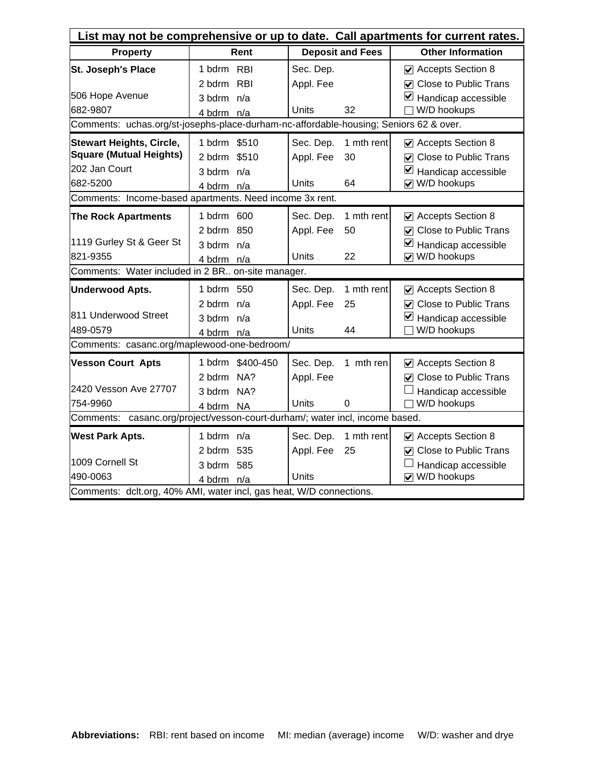| List may not be comprehensive or up to date. Call apartments for current rates.                                                                           |                                                              |                                 |                         |                                                                                                              |  |  |
|-----------------------------------------------------------------------------------------------------------------------------------------------------------|--------------------------------------------------------------|---------------------------------|-------------------------|--------------------------------------------------------------------------------------------------------------|--|--|
| <b>Property</b>                                                                                                                                           | Rent                                                         |                                 | <b>Deposit and Fees</b> | <b>Other Information</b>                                                                                     |  |  |
| St. Joseph's Place<br>506 Hope Avenue                                                                                                                     | 1 bdrm RBI<br><b>RBI</b><br>2 bdrm<br>3 bdrm n/a             | Sec. Dep.<br>Appl. Fee          |                         | Accepts Section 8<br><b>○</b> Close to Public Trans<br>V<br>Handicap accessible                              |  |  |
| 682-9807<br>Comments: uchas.org/st-josephs-place-durham-nc-affordable-housing; Seniors 62 & over.                                                         | 4 bdrm n/a                                                   | Units                           | 32                      | W/D hookups                                                                                                  |  |  |
| <b>Stewart Heights, Circle,</b><br><b>Square (Mutual Heights)</b><br>202 Jan Court<br>682-5200<br>Comments: Income-based apartments. Need income 3x rent. | 1 bdrm \$510<br>2 bdrm<br>\$510<br>3 bdrm n/a<br>4 bdrm n/a  | Sec. Dep.<br>Appl. Fee<br>Units | 1 mth rent<br>30<br>64  | Accepts Section 8<br>☑ Close to Public Trans<br>$\blacktriangleright$ Handicap accessible<br>V W/D hookups   |  |  |
| <b>The Rock Apartments</b><br>1119 Gurley St & Geer St<br>821-9355                                                                                        | 1 bdrm 600<br>2 bdrm 850<br>3 bdrm n/a<br>4 bdrm n/a         | Sec. Dep.<br>Appl. Fee<br>Units | 1 mth rent<br>50<br>22  | Accepts Section 8<br><b>○</b> Close to Public Trans<br>⊻<br>Handicap accessible<br>V W/D hookups             |  |  |
| Comments: Water included in 2 BR. on-site manager.                                                                                                        |                                                              |                                 |                         |                                                                                                              |  |  |
| <b>Underwood Apts.</b><br>811 Underwood Street<br>489-0579                                                                                                | 1 bdrm 550<br>2 bdrm $n/a$<br>3 bdrm n/a<br>4 bdrm n/a       | Sec. Dep.<br>Appl. Fee<br>Units | 1 mth rent<br>25<br>44  | $\vee$ Accepts Section 8<br><b>○</b> Close to Public Trans<br>⊻<br>Handicap accessible<br>W/D hookups        |  |  |
| Comments: casanc.org/maplewood-one-bedroom/                                                                                                               |                                                              |                                 |                         |                                                                                                              |  |  |
| <b>Vesson Court Apts</b><br>2420 Vesson Ave 27707<br>754-9960                                                                                             | 1 bdrm \$400-450<br>NA?<br>2 bdrm<br>3 bdrm NA?<br>4 bdrm NA | Sec. Dep.<br>Appl. Fee<br>Units | 1 mth ren<br>0          | ☑ Accepts Section 8<br><b>☑</b> Close to Public Trans<br>Handicap accessible<br>W/D hookups                  |  |  |
| Comments: casanc.org/project/vesson-court-durham/; water incl, income based.                                                                              |                                                              |                                 |                         |                                                                                                              |  |  |
| <b>West Park Apts.</b><br>1009 Cornell St<br>490-0063<br>Comments: dclt.org, 40% AMI, water incl, gas heat, W/D connections.                              | 1 bdrm $n/a$<br>2 bdrm 535<br>3 bdrm 585<br>4 bdrm n/a       | Sec. Dep.<br>Appl. Fee<br>Units | 1 mth rent<br>25        | $\triangleright$ Accepts Section 8<br><b>○</b> Close to Public Trans<br>Handicap accessible<br>☑ W/D hookups |  |  |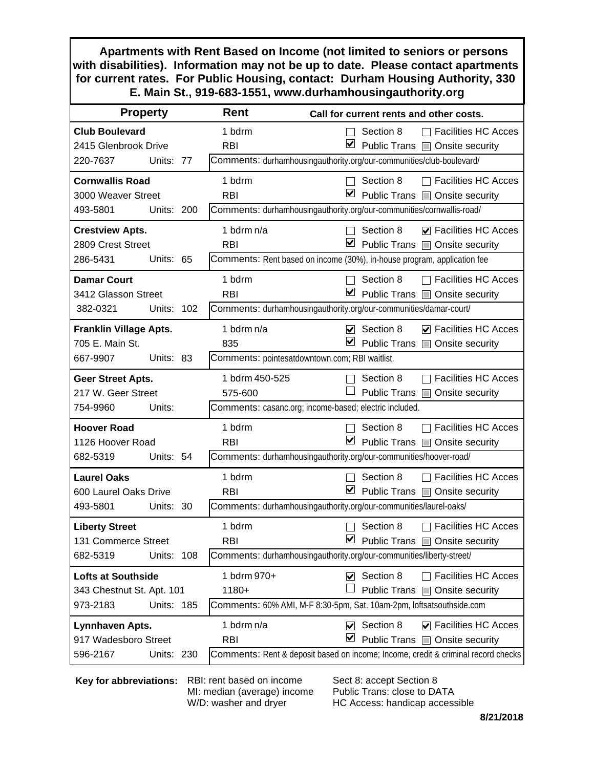**Apartments with Rent Based on Income (not limited to seniors or persons with disabilities). Information may not be up to date. Please contact apartments for current rates. For Public Housing, contact: Durham Housing Authority, 330 E. Main St., 919-683-1551, www.durhamhousingauthority.org**

| <b>Property</b>               |            |     | Rent                                           | Call for current rents and other costs.                                           |
|-------------------------------|------------|-----|------------------------------------------------|-----------------------------------------------------------------------------------|
| <b>Club Boulevard</b>         |            |     | 1 bdrm                                         | <b>Facilities HC Acces</b><br>Section 8                                           |
| 2415 Glenbrook Drive          |            |     | <b>RBI</b>                                     | ⊻<br>Public Trans ■ Onsite security                                               |
| 220-7637                      | Units: 77  |     |                                                | Comments: durhamhousingauthority.org/our-communities/club-boulevard/              |
| <b>Cornwallis Road</b>        |            |     | 1 bdrm                                         | Section 8<br><b>Facilities HC Acces</b>                                           |
| 3000 Weaver Street            |            |     | <b>RBI</b>                                     | ⊻<br>Public Trans □ Onsite security                                               |
| 493-5801                      | Units: 200 |     |                                                | Comments: durhamhousingauthority.org/our-communities/cornwallis-road/             |
| <b>Crestview Apts.</b>        |            |     | 1 bdrm n/a                                     | Section 8<br>$\nabla$ Facilities HC Acces                                         |
| 2809 Crest Street             |            |     | <b>RBI</b>                                     | M<br>Public Trans   Onsite security                                               |
| 286-5431                      | Units: 65  |     |                                                | Comments: Rent based on income (30%), in-house program, application fee           |
| <b>Damar Court</b>            |            |     | 1 bdrm                                         | <b>Facilities HC Acces</b><br>Section 8                                           |
| 3412 Glasson Street           |            |     | <b>RBI</b>                                     | ⊻<br>Public Trans @ Onsite security                                               |
| 382-0321                      | Units: 102 |     |                                                | Comments: durhamhousingauthority.org/our-communities/damar-court/                 |
| <b>Franklin Village Apts.</b> |            |     | 1 bdrm $n/a$                                   | $\triangledown$ Section 8<br><b>▽</b> Facilities HC Acces                         |
| 705 E. Main St.               |            |     | 835                                            | ⊻<br>Public Trans @ Onsite security                                               |
| 667-9907                      | Units: 83  |     | Comments: pointesatdowntown.com; RBI waitlist. |                                                                                   |
| <b>Geer Street Apts.</b>      |            |     | 1 bdrm 450-525                                 | <b>Facilities HC Acces</b><br>Section 8                                           |
| 217 W. Geer Street            |            |     | 575-600                                        | Public Trans<br>Onsite security                                                   |
| 754-9960                      | Units:     |     |                                                | Comments: casanc.org; income-based; electric included.                            |
| <b>Hoover Road</b>            |            |     | 1 bdrm                                         | <b>Facilities HC Acces</b><br>Section 8                                           |
| 1126 Hoover Road              |            |     | <b>RBI</b>                                     | ⊻<br>Public Trans ■ Onsite security                                               |
| 682-5319                      | Units: 54  |     |                                                | Comments: durhamhousingauthority.org/our-communities/hoover-road/                 |
| <b>Laurel Oaks</b>            |            |     | 1 bdrm                                         | <b>Facilities HC Acces</b><br>Section 8                                           |
| 600 Laurel Oaks Drive         |            |     | <b>RBI</b>                                     | $\blacktriangledown$<br>Public Trans   Onsite security                            |
| 493-5801                      | Units: 30  |     |                                                | Comments: durhamhousingauthority.org/our-communities/laurel-oaks/                 |
| <b>Liberty Street</b>         |            |     | 1 bdrm                                         | Section 8<br><b>Facilities HC Acces</b>                                           |
| 131 Commerce Street           |            |     | <b>RBI</b>                                     | Public Trans   Onsite security                                                    |
| 682-5319                      | Units:     | 108 |                                                | Comments: durhamhousingauthority.org/our-communities/liberty-street/              |
| <b>Lofts at Southside</b>     |            |     | 1 bdrm 970+                                    | Section 8<br><b>Facilities HC Acces</b><br>$\blacktriangledown$                   |
| 343 Chestnut St. Apt. 101     |            |     | $1180+$                                        | Public Trans <b>I</b><br>Onsite security                                          |
| 973-2183                      | Units: 185 |     |                                                | Comments: 60% AMI, M-F 8:30-5pm, Sat. 10am-2pm, loftsatsouthside.com              |
| Lynnhaven Apts.               |            |     | 1 bdrm n/a                                     | Section 8<br>$\triangleright$ Facilities HC Acces<br>V                            |
| 917 Wadesboro Street          |            |     | <b>RBI</b>                                     | ⊻<br>Public Trans @ Onsite security                                               |
| 596-2167                      | Units: 230 |     |                                                | Comments: Rent & deposit based on income; Income, credit & criminal record checks |

**Key for abbreviations:** RBI: rent based on income

MI: median (average) income W/D: washer and dryer

Sect 8: accept Section 8 Public Trans: close to DATA HC Access: handicap accessible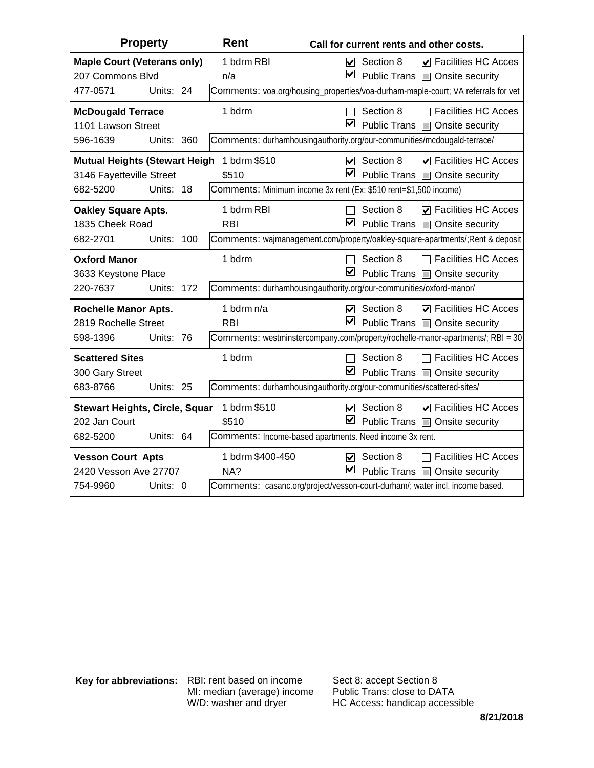| <b>Property</b>                                                           | Rent                       | Call for current rents and other costs.                                                                         |
|---------------------------------------------------------------------------|----------------------------|-----------------------------------------------------------------------------------------------------------------|
| <b>Maple Court (Veterans only)</b><br>207 Commons Blvd                    | 1 bdrm RBI<br>n/a          | $\triangledown$ Section 8<br>$\nabla$ Facilities HC Acces<br>■ Public Trans ■ Onsite security                   |
| Units: 24<br>477-0571                                                     |                            | Comments: voa.org/housing_properties/voa-durham-maple-court; VA referrals for vet                               |
| <b>McDougald Terrace</b><br>1101 Lawson Street                            | 1 bdrm                     | Section 8<br>$\Box$ Facilities HC Acces<br>$\blacktriangleright$<br>Public Trans <b>D</b> Onsite security       |
| 596-1639<br>Units: 360                                                    |                            | Comments: durhamhousingauthority.org/our-communities/mcdougald-terrace/                                         |
| <b>Mutual Heights (Stewart Heigh</b><br>3146 Fayetteville Street          | 1 bdrm \$510<br>\$510      | $\triangledown$ Section 8<br>$\triangledown$ Facilities HC Acces<br>⊻<br>Public Trans   Onsite security         |
| 682-5200<br>Units:<br>-18                                                 |                            | Comments: Minimum income 3x rent (Ex: \$510 rent=\$1,500 income)                                                |
| <b>Oakley Square Apts.</b><br>1835 Cheek Road                             | 1 bdrm RBI<br><b>RBI</b>   | Section 8<br>$\nabla$ Facilities HC Acces<br>⊻<br>Public Trans □ Onsite security                                |
| Units:<br>682-2701<br>100                                                 |                            | Comments: wajmanagement.com/property/oakley-square-apartments/; Rent & deposit                                  |
| <b>Oxford Manor</b><br>3633 Keystone Place                                | 1 bdrm                     | <b>Facilities HC Acces</b><br>Section 8<br>☑<br>Public Trans   Onsite security                                  |
| 220-7637<br>Units:<br>172                                                 |                            | Comments: durhamhousingauthority.org/our-communities/oxford-manor/                                              |
| <b>Rochelle Manor Apts.</b><br>2819 Rochelle Street                       | 1 bdrm $n/a$<br><b>RBI</b> | $\triangledown$ Section 8<br>$\nabla$ Facilities HC Acces<br>☑<br>Public Trans   Onsite security                |
| 598-1396<br>Units: 76                                                     |                            | Comments: westminstercompany.com/property/rochelle-manor-apartments/; RBI = 30                                  |
| <b>Scattered Sites</b><br>300 Gary Street                                 | 1 bdrm                     | □ Facilities HC Acces<br>Section 8<br>⊻<br>Public Trans □ Onsite security                                       |
| 683-8766<br>Units: 25                                                     |                            | Comments: durhamhousingauthority.org/our-communities/scattered-sites/                                           |
| <b>Stewart Heights, Circle, Squar</b><br>202 Jan Court                    | 1 bdrm \$510<br>\$510      | $\triangledown$ Facilities HC Acces<br>Section 8<br>V<br>$\blacktriangledown$<br>Public Trans   Onsite security |
| 682-5200<br>Units: 64                                                     |                            | Comments: Income-based apartments. Need income 3x rent.                                                         |
| <b>Vesson Court Apts</b><br>2420 Vesson Ave 27707<br>Units: 0<br>754-9960 | 1 bdrm \$400-450<br>NA?    | <b>Facilities HC Acces</b><br>Section 8<br>☑<br>⊻<br>Public Trans   Onsite security                             |
|                                                                           |                            | Comments: casanc.org/project/vesson-court-durham/; water incl, income based.                                    |

**Key for abbreviations:** RBI: rent based on income MI: median (average) income W/D: washer and dryer

Sect 8: accept Section 8 Public Trans: close to DATA HC Access: handicap accessible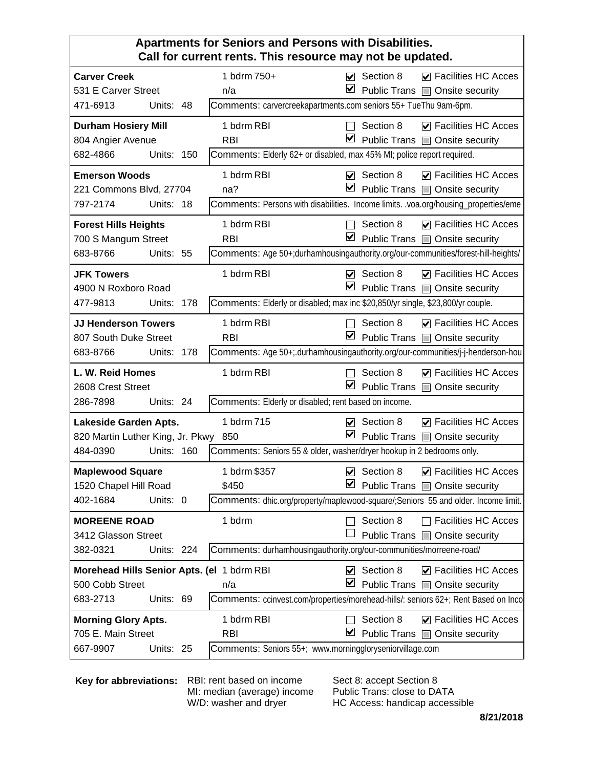#### **Apartments for Seniors and Persons with Disabilities. Call for current rents. This resource may not be updated.**

|                                            |                   |     | an one romor muo roodaroo may noe so apaaloar                                             |                         |                            |                                       |
|--------------------------------------------|-------------------|-----|-------------------------------------------------------------------------------------------|-------------------------|----------------------------|---------------------------------------|
| <b>Carver Creek</b>                        |                   |     | 1 bdrm 750+                                                                               |                         | $\triangledown$ Section 8  | $\triangledown$ Facilities HC Acces   |
| 531 E Carver Street                        |                   |     | n/a                                                                                       | ⊻                       |                            | Public Trans <b>D</b> Onsite security |
| 471-6913                                   | Units: 48         |     | Comments: carvercreekapartments.com seniors 55+ TueThu 9am-6pm.                           |                         |                            |                                       |
| <b>Durham Hosiery Mill</b>                 |                   |     | 1 bdrm RBI                                                                                |                         | Section 8                  | $\triangledown$ Facilities HC Acces   |
| 804 Angier Avenue                          |                   |     | <b>RBI</b>                                                                                | ⊻                       |                            | Public Trans <b>D</b> Onsite security |
| 682-4866                                   | <b>Units: 150</b> |     | Comments: Elderly 62+ or disabled, max 45% MI; police report required.                    |                         |                            |                                       |
| <b>Emerson Woods</b>                       |                   |     | 1 bdrm RBI                                                                                |                         | $\triangledown$ Section 8  | $\triangledown$ Facilities HC Acces   |
| 221 Commons Blvd, 27704                    |                   |     | na?                                                                                       | ⊻                       |                            | Public Trans   Onsite security        |
| 797-2174                                   | Units: 18         |     | Comments: Persons with disabilities. Income limits. voa.org/housing_properties/eme        |                         |                            |                                       |
| <b>Forest Hills Heights</b>                |                   |     | 1 bdrm RBI                                                                                |                         | Section 8                  | $\triangledown$ Facilities HC Acces   |
| 700 S Mangum Street                        |                   |     | <b>RBI</b>                                                                                | ⊻                       |                            | Public Trans   Onsite security        |
| 683-8766                                   | Units: 55         |     | Comments: Age 50+;durhamhousingauthority.org/our-communities/forest-hill-heights/         |                         |                            |                                       |
| <b>JFK Towers</b>                          |                   |     | 1 bdrm RBI                                                                                | $\overline{\mathbf{v}}$ | Section 8                  | ☑ Facilities HC Acces                 |
| 4900 N Roxboro Road                        |                   |     |                                                                                           | ⊻                       |                            | Public Trans   Onsite security        |
| 477-9813                                   | <b>Units: 178</b> |     | Comments: Elderly or disabled; max inc \$20,850/yr single, \$23,800/yr couple.            |                         |                            |                                       |
| <b>JJ Henderson Towers</b>                 |                   |     | 1 bdrm RBI                                                                                |                         | Section 8                  | $\triangledown$ Facilities HC Acces   |
| 807 South Duke Street                      |                   |     | <b>RBI</b>                                                                                | ✔                       |                            | Public Trans ■ Onsite security        |
| 683-8766                                   | Units:            | 178 | Comments: Age 50+; durhamhousingauthority.org/our-communities/j-j-henderson-hou           |                         |                            |                                       |
| L. W. Reid Homes                           |                   |     | 1 bdrm RBI                                                                                |                         | Section 8                  | $\triangledown$ Facilities HC Acces   |
| 2608 Crest Street                          |                   |     |                                                                                           | ⊻                       |                            | Public Trans @ Onsite security        |
| 286-7898                                   | Units: 24         |     | Comments: Elderly or disabled; rent based on income.                                      |                         |                            |                                       |
| Lakeside Garden Apts.                      |                   |     | 1 bdrm 715                                                                                | M                       | Section 8                  | $\triangledown$ Facilities HC Acces   |
| 820 Martin Luther King, Jr. Pkwy 850       |                   |     |                                                                                           | ⊻                       |                            | Public Trans @ Onsite security        |
| 484-0390                                   | Units: 160        |     | Comments: Seniors 55 & older, washer/dryer hookup in 2 bedrooms only.                     |                         |                            |                                       |
| <b>Maplewood Square</b>                    |                   |     | 1 bdrm \$357                                                                              | $\overline{\mathbf{v}}$ | Section 8                  | $\nabla$ Facilities HC Acces          |
| 1520 Chapel Hill Road                      |                   |     | \$450                                                                                     | ⊻                       |                            | Public Trans □ Onsite security        |
| 402-1684                                   | Units: 0          |     | <b>Comments:</b> dhic.org/property/maplewood-square/; Seniors 55 and older. Income limit. |                         |                            |                                       |
| <b>MOREENE ROAD</b>                        |                   |     | 1 bdrm                                                                                    |                         | Section 8                  | <b>Facilities HC Acces</b>            |
| 3412 Glasson Street                        |                   |     |                                                                                           |                         |                            | Public Trans @ Onsite security        |
| 382-0321                                   | Units: 224        |     | Comments: durhamhousingauthority.org/our-communities/morreene-road/                       |                         |                            |                                       |
| Morehead Hills Senior Apts. (el 1 bdrm RBI |                   |     |                                                                                           |                         | $\triangleright$ Section 8 | $\nabla$ Facilities HC Acces          |
| 500 Cobb Street                            |                   |     | n/a                                                                                       | ⊻                       |                            | Public Trans @ Onsite security        |
| 683-2713                                   | Units: 69         |     | Comments: ccinvest.com/properties/morehead-hills/: seniors 62+; Rent Based on Inco        |                         |                            |                                       |
| <b>Morning Glory Apts.</b>                 |                   |     | 1 bdrm RBI                                                                                |                         | Section 8                  | $\triangleright$ Facilities HC Acces  |
| 705 E. Main Street                         |                   |     | <b>RBI</b>                                                                                | ⊻                       |                            | Public Trans @ Onsite security        |
| 667-9907                                   | Units: 25         |     | Comments: Seniors 55+; www.morninggloryseniorvillage.com                                  |                         |                            |                                       |

**Key for abbreviations:** RBI: rent based on income

MI: median (average) income W/D: washer and dryer

Sect 8: accept Section 8 Public Trans: close to DATA HC Access: handicap accessible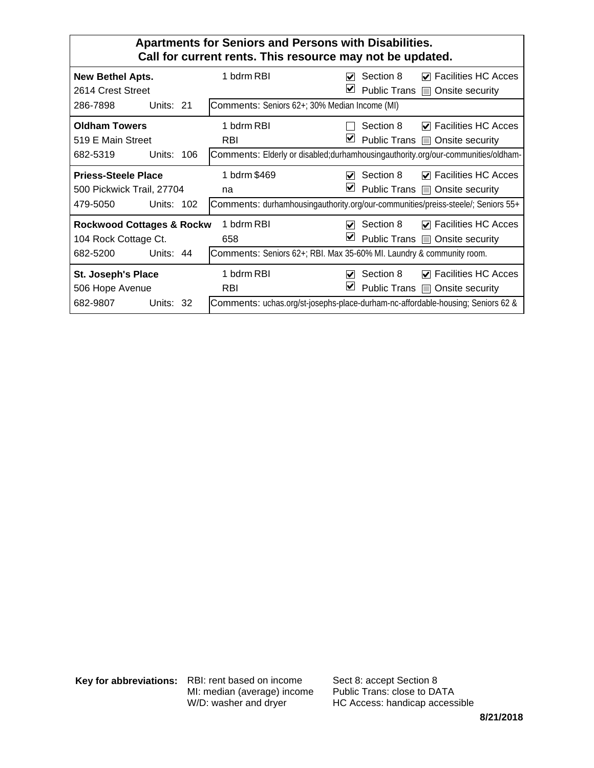| <b>Apartments for Seniors and Persons with Disabilities.</b><br>Call for current rents. This resource may not be updated. |                                               |                                                                                                                                                                                                                                                                        |  |  |  |  |  |
|---------------------------------------------------------------------------------------------------------------------------|-----------------------------------------------|------------------------------------------------------------------------------------------------------------------------------------------------------------------------------------------------------------------------------------------------------------------------|--|--|--|--|--|
| <b>New Bethel Apts.</b><br>2614 Crest Street                                                                              | 1 bdrm RBI                                    | $\nabla$ Facilities HC Acces<br>Section 8<br>M<br>V<br>Public Trans <b>I</b><br>Onsite security                                                                                                                                                                        |  |  |  |  |  |
| 286-7898<br>Units: 21                                                                                                     | Comments: Seniors 62+; 30% Median Income (MI) |                                                                                                                                                                                                                                                                        |  |  |  |  |  |
| <b>Oldham Towers</b><br>519 E Main Street<br>Units: $106$                                                                 | 1 bdrm RBI<br><b>RBI</b>                      | <b>Facilities HC Acces</b><br>Section 8<br>M<br>V<br>Public Trans   Onsite security                                                                                                                                                                                    |  |  |  |  |  |
| 682-5319<br><b>Priess-Steele Place</b><br>500 Pickwick Trail, 27704<br>479-5050<br>Units: $102$                           | 1 bdrm \$469<br>na                            | Comments: Elderly or disabled; durhamhousing authority.org/our-communities/oldham-<br>$\triangledown$ Facilities HC Acces<br>Section 8<br>M<br>V<br>Public Trans ■ Onsite security<br>Comments: durhamhousingauthority.org/our-communities/preiss-steele/; Seniors 55+ |  |  |  |  |  |
| <b>Rockwood Cottages &amp; Rockw</b><br>104 Rock Cottage Ct.<br>682-5200<br>Units: $44$                                   | 1 bdrm RBI<br>658                             | $\nabla$ Facilities HC Acces<br>Section 8<br>M<br>V<br>Public Trans   Onsite security<br>Comments: Seniors 62+; RBI. Max 35-60% MI. Laundry & community room.                                                                                                          |  |  |  |  |  |
| St. Joseph's Place<br>506 Hope Avenue<br>682-9807<br>Units: 32                                                            | 1 bdrm RBI<br><b>RBI</b>                      | Section 8<br>$\nabla$ Facilities HC Acces<br>M<br>V<br>Public Trans ■ Onsite security<br>Comments: uchas.org/st-josephs-place-durham-nc-affordable-housing; Seniors 62 &                                                                                               |  |  |  |  |  |

**Key for abbreviations:** RBI: rent based on income MI: median (average) income W/D: washer and dryer

Sect 8: accept Section 8 Public Trans: close to DATA HC Access: handicap accessible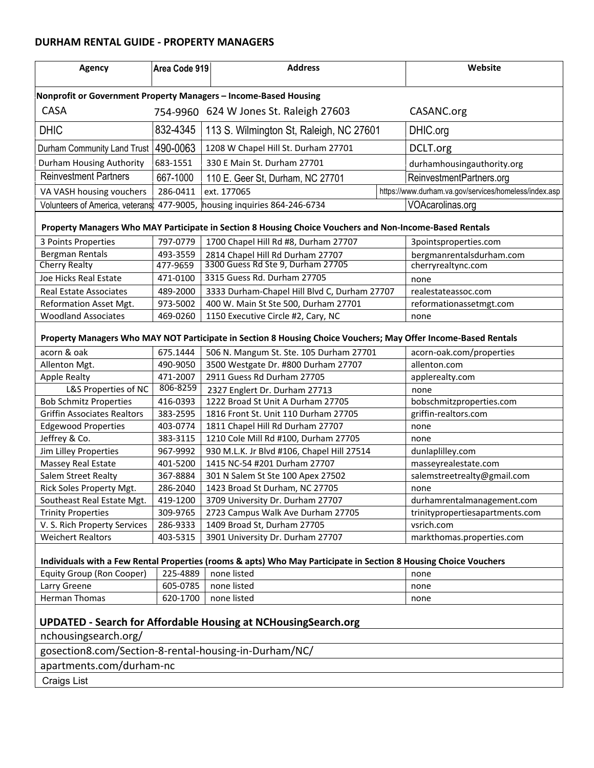#### **DURHAM RENTAL GUIDE - PROPERTY MANAGERS**

| <b>Agency</b>                                                                                                    | Area Code 919                                  | <b>Address</b>                                                                                          |          | Website                                               |  |  |  |  |  |
|------------------------------------------------------------------------------------------------------------------|------------------------------------------------|---------------------------------------------------------------------------------------------------------|----------|-------------------------------------------------------|--|--|--|--|--|
| Nonprofit or Government Property Managers - Income-Based Housing                                                 |                                                |                                                                                                         |          |                                                       |  |  |  |  |  |
| <b>CASA</b>                                                                                                      | CASANC.org                                     |                                                                                                         |          |                                                       |  |  |  |  |  |
| <b>DHIC</b>                                                                                                      | 832-4345                                       | 113 S. Wilmington St, Raleigh, NC 27601                                                                 | DHIC.org |                                                       |  |  |  |  |  |
| Durham Community Land Trust   490-0063                                                                           |                                                | 1208 W Chapel Hill St. Durham 27701                                                                     |          | DCLT.org                                              |  |  |  |  |  |
| Durham Housing Authority                                                                                         | 683-1551                                       | 330 E Main St. Durham 27701                                                                             |          | durhamhousingauthority.org                            |  |  |  |  |  |
| Reinvestment Partners                                                                                            | 667-1000                                       | 110 E. Geer St, Durham, NC 27701                                                                        |          | ReinvestmentPartners.org                              |  |  |  |  |  |
| VA VASH housing vouchers                                                                                         | 286-0411                                       | ext. 177065                                                                                             |          | https://www.durham.va.gov/services/homeless/index.asp |  |  |  |  |  |
| Volunteers of America, veterans:                                                                                 |                                                | 477-9005, housing inquiries 864-246-6734                                                                |          | VOAcarolinas.org                                      |  |  |  |  |  |
|                                                                                                                  |                                                |                                                                                                         |          |                                                       |  |  |  |  |  |
|                                                                                                                  |                                                | Property Managers Who MAY Participate in Section 8 Housing Choice Vouchers and Non-Income-Based Rentals |          |                                                       |  |  |  |  |  |
| 3 Points Properties                                                                                              | 797-0779                                       | 1700 Chapel Hill Rd #8, Durham 27707                                                                    |          | 3pointsproperties.com                                 |  |  |  |  |  |
| Bergman Rentals                                                                                                  | 493-3559<br>477-9659                           | 2814 Chapel Hill Rd Durham 27707<br>3300 Guess Rd Ste 9, Durham 27705                                   |          | bergmanrentalsdurham.com                              |  |  |  |  |  |
| <b>Cherry Realty</b>                                                                                             |                                                | 3315 Guess Rd. Durham 27705                                                                             |          | cherryrealtync.com                                    |  |  |  |  |  |
| Joe Hicks Real Estate                                                                                            | 471-0100                                       |                                                                                                         |          | none                                                  |  |  |  |  |  |
| <b>Real Estate Associates</b>                                                                                    | 489-2000                                       | 3333 Durham-Chapel Hill Blvd C, Durham 27707                                                            |          | realestateassoc.com                                   |  |  |  |  |  |
| Reformation Asset Mgt.                                                                                           | 973-5002                                       | 400 W. Main St Ste 500, Durham 27701                                                                    |          | reformationassetmgt.com                               |  |  |  |  |  |
| <b>Woodland Associates</b>                                                                                       | 469-0260<br>1150 Executive Circle #2, Cary, NC |                                                                                                         |          | none                                                  |  |  |  |  |  |
| Property Managers Who MAY NOT Participate in Section 8 Housing Choice Vouchers; May Offer Income-Based Rentals   |                                                |                                                                                                         |          |                                                       |  |  |  |  |  |
| acorn & oak                                                                                                      | 675.1444                                       | 506 N. Mangum St. Ste. 105 Durham 27701                                                                 |          | acorn-oak.com/properties                              |  |  |  |  |  |
| Allenton Mgt.                                                                                                    | 490-9050                                       | 3500 Westgate Dr. #800 Durham 27707                                                                     |          | allenton.com                                          |  |  |  |  |  |
| <b>Apple Realty</b>                                                                                              | 471-2007                                       | 2911 Guess Rd Durham 27705                                                                              |          | applerealty.com                                       |  |  |  |  |  |
| L&S Properties of NC                                                                                             | 806-8259                                       | 2327 Englert Dr. Durham 27713                                                                           |          | none                                                  |  |  |  |  |  |
| <b>Bob Schmitz Properties</b>                                                                                    | 416-0393                                       | 1222 Broad St Unit A Durham 27705                                                                       |          | bobschmitzproperties.com                              |  |  |  |  |  |
| <b>Griffin Associates Realtors</b>                                                                               | 383-2595                                       | 1816 Front St. Unit 110 Durham 27705                                                                    |          | griffin-realtors.com                                  |  |  |  |  |  |
| <b>Edgewood Properties</b>                                                                                       | 403-0774                                       | 1811 Chapel Hill Rd Durham 27707                                                                        |          | none                                                  |  |  |  |  |  |
| Jeffrey & Co.                                                                                                    | 383-3115                                       | 1210 Cole Mill Rd #100, Durham 27705                                                                    |          | none                                                  |  |  |  |  |  |
| Jim Lilley Properties                                                                                            | 967-9992                                       | 930 M.L.K. Jr Blvd #106, Chapel Hill 27514                                                              |          | dunlaplilley.com                                      |  |  |  |  |  |
| Massey Real Estate                                                                                               | 401-5200                                       | 1415 NC-54 #201 Durham 27707                                                                            |          | masseyrealestate.com                                  |  |  |  |  |  |
| <b>Salem Street Realty</b>                                                                                       | 367-8884                                       | 301 N Salem St Ste 100 Apex 27502                                                                       |          | salemstreetrealty@gmail.com                           |  |  |  |  |  |
| Rick Soles Property Mgt.                                                                                         | 286-2040                                       | 1423 Broad St Durham, NC 27705                                                                          |          | none                                                  |  |  |  |  |  |
| Southeast Real Estate Mgt.                                                                                       | 419-1200                                       | 3709 University Dr. Durham 27707                                                                        |          | durhamrentalmanagement.com                            |  |  |  |  |  |
| <b>Trinity Properties</b>                                                                                        | 309-9765                                       | 2723 Campus Walk Ave Durham 27705                                                                       |          | trinitypropertiesapartments.com                       |  |  |  |  |  |
| V. S. Rich Property Services                                                                                     | 286-9333                                       | 1409 Broad St, Durham 27705                                                                             |          | vsrich.com                                            |  |  |  |  |  |
| <b>Weichert Realtors</b>                                                                                         | 403-5315                                       | 3901 University Dr. Durham 27707                                                                        |          | markthomas.properties.com                             |  |  |  |  |  |
| Individuals with a Few Rental Properties (rooms & apts) Who May Participate in Section 8 Housing Choice Vouchers |                                                |                                                                                                         |          |                                                       |  |  |  |  |  |
| Equity Group (Ron Cooper)                                                                                        | 225-4889                                       | none listed                                                                                             |          | none                                                  |  |  |  |  |  |
| Larry Greene                                                                                                     | 605-0785                                       | none listed                                                                                             |          | none                                                  |  |  |  |  |  |
| Herman Thomas                                                                                                    | 620-1700                                       | none listed                                                                                             |          | none                                                  |  |  |  |  |  |
| <b>UPDATED - Search for Affordable Housing at NCHousingSearch.org</b>                                            |                                                |                                                                                                         |          |                                                       |  |  |  |  |  |
| nchousingsearch.org/                                                                                             |                                                |                                                                                                         |          |                                                       |  |  |  |  |  |
| gosection8.com/Section-8-rental-housing-in-Durham/NC/                                                            |                                                |                                                                                                         |          |                                                       |  |  |  |  |  |
| apartments.com/durham-nc                                                                                         |                                                |                                                                                                         |          |                                                       |  |  |  |  |  |
| <b>Craigs List</b>                                                                                               |                                                |                                                                                                         |          |                                                       |  |  |  |  |  |
|                                                                                                                  |                                                |                                                                                                         |          |                                                       |  |  |  |  |  |